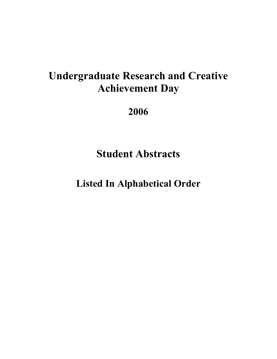# **Undergraduate Research and Creative Achievement Day**

# **2006**

# **Student Abstracts**

# **Listed In Alphabetical Order**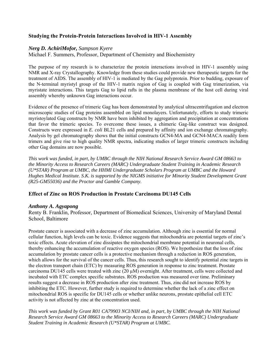# **Studying the Protein-Protein Interactions Involved in HIV-1 Assembly**

# *Nerg D. AchiriMofor, Sampson Kyere*

Michael F. Summers, Professor, Department of Chemistry and Biochemistry

The purpose of my research is to characterize the protein interactions involved in HIV-1 assembly using NMR and X-ray Crystallography. Knowledge from these studies could provide new therapeutic targets for the treatment of AIDS. The assembly of HIV-1 is mediated by the Gag polyprotein. Prior to budding, exposure of the N-terminal myristyl group of the HIV-1 matrix region of Gag is coupled with Gag trimerization, via myristate interactions. This targets Gag to lipid rafts in the plasma membrane of the host cell during viral assembly whereby unknown Gag interactions occur.

Evidence of the presence of trimeric Gag has been demonstrated by analytical ultracentrifugation and electron microscopic studies of Gag proteins assembled on lipid monolayers. Unfortunately, efforts to study trimeric myristoylated Gag constructs by NMR have been inhibited by aggregation and precipitation at concentrations that favor the trimeric species. To overcome these issues, a chimeric Gag-like construct was designed. Constructs were expressed in *E. coli* BL21 cells and prepared by affinity and ion exchange chromatography. Analysis by gel chromatography shows that the initial constructs GCN4-MA and GCN4-MACA readily form trimers and give rise to high quality NMR spectra, indicating studies of larger trimeric constructs including other Gag domains are now possible.

*This work was funded, in part, by UMBC through the NIH National Research Service Award GM 08663 to the Minority Access to Research Careers (MARC) Undergraduate Student Training in Academic Research (U\*STAR) Program at UMBC, the HHMI Undergraduate Scholars Program at UMBC and the Howard Hughes Medical Institute. S.K. is supported by the NIGMS initiative for Minority Student Development Grant (R25-GM55036) and the Proctor and Gamble Company.*

# **Effect of Zinc on ROS Production in Prostate Carcinoma DU145 Cells**

#### *Anthony A. Agyapong*

Renty B. Franklin, Professor, Department of Biomedical Sciences, University of Maryland Dental School, Baltimore

Prostate cancer is associated with a decrease of zinc accumulation. Although zinc is essential for normal cellular function, high levels can be toxic. Evidence suggests that mitochondria are potential targets of zinc's toxic effects. Acute elevation of zinc dissipates the mitochondrial membrane potential in neuronal cells, thereby enhancing the accumulation of reactive oxygen species (ROS). We hypothesize that the loss of zinc accumulation by prostate cancer cells is a protective mechanism through a reduction in ROS generation, which allows for the survival of the cancer cells. Thus, this research sought to identify potential zinc targets in the electron transport chain (ETC) by measuring ROS generation in response to zinc treatment. Prostate carcinoma DU145 cells were treated with zinc  $(20 \mu M)$  overnight. After treatment, cells were collected and incubated with ETC complex specific substrates. ROS production was measured over time. Preliminary results suggest a decrease in ROS production after zinc treatment. Thus, zinc did not increase ROS by inhibiting the ETC. However, further study is required to determine whether the lack of a zinc effect on mitochondrial ROS is specific for DU145 cells or whether unlike neurons, prostate epithelial cell ETC activity is not affected by zinc at the concentration used.

*This work was funded by Grant R01 CA79903 NCI/NIH and, in part, by UMBC through the NIH National Research Service Award GM 08663 to the Minority Access to Research Careers (MARC) Undergraduate Student Training in Academic Research (U\*STAR) Program at UMBC.*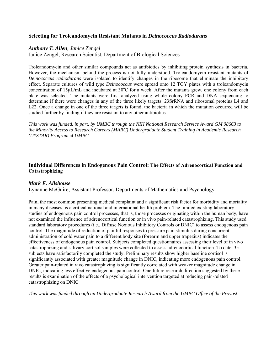# **Selecting for Troleandomycin Resistant Mutants in** *Deinococcus Radiodurans*

#### *Anthony T. Allen, Janice Zengel*

Janice Zengel, Research Scientist, Department of Biological Sciences

Troleandomycin and other similar compounds act as antibiotics by inhibiting protein synthesis in bacteria. However, the mechanism behind the process is not fully understood. Troleandomycin resistant mutants of *Deinococcus radiodurans* were isolated to identify changes in the ribosome that eliminate the inhibitory effect. Separate cultures of wild type *Deinococcus* were spread onto 12 TGY plates with a troleandomycin concentration of 15µL/mL and incubated at 30°C for a week. After the mutants grew, one colony from each plate was selected. The mutants were first analyzed using whole colony PCR and DNA sequencing to determine if there were changes in any of the three likely targets: 23SrRNA and ribosomal proteins L4 and L22. Once a change in one of the three targets is found, the bacteria in which the mutation occurred will be studied further by finding if they are resistant to any other antibiotics.

*This work was funded, in part, by UMBC through the NIH National Research Service Award GM 08663 to the Minority Access to Research Careers (MARC) Undergraduate Student Training in Academic Research (U\*STAR) Program* at *UMBC.*

## **Individual Differences in Endogenous Pain Control: The Effects of Adrenocortical Function and Catastrophizing**

#### *Mark E. Allshouse*

Lynanne McGuire, Assistant Professor, Departments of Mathematics and Psychology

Pain, the most common presenting medical complaint and a significant risk factor for morbidity and mortality in many diseases, is a critical national and international health problem. The limited existing laboratory studies of endogenous pain control processes, that is, those processes originating within the human body, have not examined the influence of adrenocortical function or in vivo pain-related catastrophizing. This study used standard laboratory procedures (i.e., Diffuse Noxious Inhibitory Controls or DNIC) to assess endogenous pain control. The magnitude of reduction of painful responses to pressure pain stimulus during concurrent administration of cold water pain to a different body site (forearm and upper trapezius) indicates the effectiveness of endogenous pain control. Subjects completed questionnaires assessing their level of in vivo catastrophizing and salivary cortisol samples were collected to assess adrenocortical function. To date, 35 subjects have satisfactorily completed the study. Preliminary results show higher baseline cortisol is significantly associated with greater magnitude change in DNIC, indicating more endogenous pain control. Greater pain-related in vivo catastrophizing is significantly correlated with weaker magnitude change in DNIC, indicating less effective endogenous pain control. One future research direction suggested by these results is examination of the effects of a psychological intervention targeted at reducing pain-related catastrophizing on DNIC

*This work was funded through an Undergraduate Research Award from the UMBC Office of the Provost.*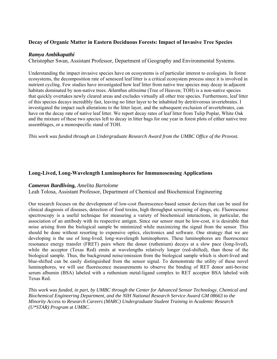# **Decay of Organic Matter in Eastern Deciduous Forests: Impact of Invasive Tree Species**

#### *Ramya Ambikapathi*

Christopher Swan, Assistant Professor, Department of Geography and Environmental Systems.

Understanding the impact invasive species have on ecosystems is of particular interest to ecologists. In forest ecosystems, the decomposition rate of senesced leaf litter is a critical ecosystem process since it is involved in nutrient cycling. Few studies have investigated how leaf litter from native tree species may decay in adjacent habitats dominated by non-native trees. *Ailanthus altissima* (Tree of Heaven; TOH) is a non-native species that quickly overtakes newly cleared areas and excludes virtually all other tree species. Furthermore, leaf litter of this species decays incredibly fast, leaving no litter layer to be inhabited by detritivorous invertebrates. I investigated the impact such alterations to the litter layer, and the subsequent exclusion of invertebrates, can have on the decay rate of native leaf litter. We report decay rates of leaf litter from Tulip Poplar, White Oak and the mixture of these two species left to decay in litter bags for one year in forest plots of either native tree assemblages, or a monospecific stand of TOH.

*This work was funded through an Undergraduate Research Award from the UMBC Office of the Provost.* 

### **Long-Lived, Long-Wavelength Luminophores for Immunosensing Applications**

#### *Cameron Bardliving, Amelita Bartolome*

Leah Tolosa, Assistant Professor, Department of Chemical and Biochemical Engineering

Our research focuses on the development of low-cost fluorescence-based sensor devices that can be used for clinical diagnosis of diseases, detection of food toxins, high throughput screening of drugs, etc. Fluorescence spectroscopy is a useful technique for measuring a variety of biochemical interactions, in particular, the association of an antibody with its respective antigen. Since our sensor must be low-cost, it is desirable that noise arising from the biological sample be minimized while maximizing the signal from the sensor. This should be done without resorting to expensive optics, electronics and software. One strategy that we are developing is the use of long-lived, long-wavelength luminophores. These luminophores are fluorescence resonance energy transfer (FRET) pairs where the donor (ruthenium) decays at a slow pace (long-lived), while the acceptor (Texas Red) emits at wavelengths relatively longer (red-shifted), than those of the biological sample. Thus, the background noise/emission from the biological sample which is short-lived and blue-shifted can be easily distinguished from the sensor signal. To demonstrate the utility of these novel luminophores, we will use fluorescence measurements to observe the binding of RET donor anti-bovine serum albumin (BSA) labeled with a ruthenium metal-ligand complex to RET acceptor BSA labeled with Texas Red.

*This work was funded, in part, by UMBC through the Center for Advanced Sensor Technology, Chemical and Biochemical Engineering Department, and the NIH National Research Service Award GM 08663 to the Minority Access to Research Careers (MARC) Undergraduate Student Training in Academic Research (U\*STAR) Program* at *UMBC.*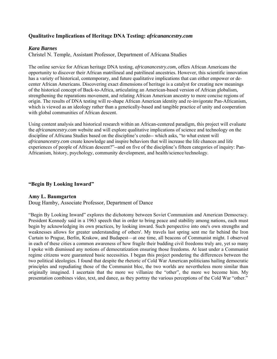# **Qualitative Implications of Heritage DNA Testing:** *africanancestry.com*

## *Kara Barnes*

Christel N. Temple, Assistant Professor, Department of Africana Studies

The online service for African heritage DNA testing, *africanancestry.com*, offers African Americans the opportunity to discover their African matrilineal and patrilineal ancestries. However, this scientific innovation has a variety of historical, contemporary, and future qualitative implications that can either empower or decenter African Americans. Discovering exact dimensions of heritage is a catalyst for creating new meanings of the historical concept of Back-to-Africa, articulating an American-based version of African globalism, strengthening the reparations movement, and relating African American ancestry to more concise regions of origin. The results of DNA testing will re-shape African American identity and re-invigorate Pan-Africanism, which is viewed as an ideology rather than a genetically-based and tangible practice of unity and cooperation with global communities of African descent.

Using content analysis and historical research within an African-centered paradigm, this project will evaluate the *africanancestry.com* website and will explore qualitative implications of science and technology on the discipline of Africana Studies based on the discipline's credo-- which asks, "to what extent will *africanancestry.com* create knowledge and inspire behaviors that will increase the life chances and life experiences of people of African descent?"--and on five of the discipline's fifteen categories of inquiry: Pan-Africanism, history, psychology, community development, and health/science/technology.

# **"Begin By Looking Inward"**

#### **Amy L. Baumgarten**

Doug Hamby, Associate Professor, Department of Dance

"Begin By Looking Inward" explores the dichotomy between Soviet Communism and American Democracy. President Kennedy said in a 1963 speech that in order to bring peace and stability among nations, each must begin by acknowledging its own practices, by looking inward. Such perspective into one's own strengths and weaknesses allows for greater understanding of others'. My travels last spring sent me far behind the Iron Curtain to Prague, Berlin, Krakow, and Budapest—at one time, all beacons of Communist might. I observed in each of these cities a common awareness of how fragile their budding civil freedoms truly are, yet so many I spoke with dismissed any notions of democratization ensuring those freedoms. At least under a Communist regime citizens were guaranteed basic necessities. I began this project pondering the differences between the two political ideologies. I found that despite the rhetoric of Cold War American politicians hailing democratic principles and repudiating those of the Communist bloc, the two worlds are nevertheless more similar than originally imagined. I ascertain that the more we villanize the "other", the more we become him. My presentation combines video, text, and dance, as they portray the various perceptions of the Cold War "other."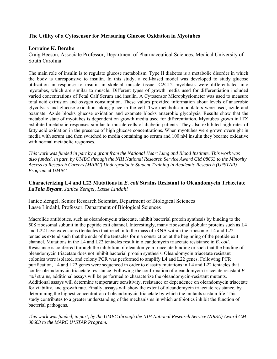# **The Utility of a Cytosensor for Measuring Glucose Oxidation in Myotubes**

## **Lorraine K. Beraho**

Craig Beeson, Associate Professor, Department of Pharmaceutical Sciences, Medical University of South Carolina

The main role of insulin is to regulate glucose metabolism. Type II diabetes is a metabolic disorder in which the body is unresponsive to insulin. In this study, a cell-based model was developed to study glucose utilization in response to insulin in skeletal muscle tissue. C2C12 myoblasts were differentiated into myotubes, which are similar to muscle. Different types of growth media used for differentiation included varied concentrations of Fetal Calf Serum and insulin. A Cytosensor Microphysiometer was used to measure total acid extrusion and oxygen consumption. These values provided information about levels of anaerobic glycolysis and glucose oxidation taking place in the cell. Two metabolic modulators were used, azide and oxamate. Azide blocks glucose oxidation and oxamate blocks anaerobic glycolysis. Results show that the metabolic state of myotubes is dependent on growth media used for differentiation. Myotubes grown in ITX exhibited metabolic responses similar to muscle cells of diabetic patients. They also exhibited high rates of fatty acid oxidation in the presence of high glucose concentrations. When myotubes were grown overnight in media with serum and then switched to media containing no serum and 100 nM insulin they became oxidative with normal metabolic responses.

*This work was funded in part by a grant from the National Heart Lung and Blood Institute. This work was also funded, in part, by UMBC through the NIH National Research Service Award GM 08663 to the Minority Access to Research Careers (MARC) Undergraduate Student Training in Academic Research (U\*STAR) Program* at *UMBC.*

# **Characterizing L4 and L22 Mutations in** *E. coli* **Strains Resistant to Oleandomycin Triacetate**  *LaToia Bryant, Janice Zengel, Lasse Lindahl*

Janice Zengel, Senior Research Scientist, Department of Biological Sciences Lasse Lindahl, Professor, Department of Biological Sciences

Macrolide antibiotics, such as oleandomycin triacetate, inhibit bacterial protein synthesis by binding to the 50S ribosomal subunit in the peptide exit channel. Interestingly, many ribosomal globular proteins such as L4 and L22 have extensions (tentacles) that reach into the mass of rRNA within the ribosome. L4 and L22 tentacles extend such that the ends of the tentacles form a constriction at the beginning of the peptide exit channel. Mutations in the L4 and L22 tentacles result in oleandomycin triacetate resistance in *E. coli*. Resistance is conferred through the inhibition of oleandomycin triacetate binding or such that the binding of oleandomycin triacetate does not inhibit bacterial protein synthesis. Oleandomycin triacetate resistant colonies were isolated, and colony PCR was performed to amplify L4 and L22 genes. Following PCR purification, L4 and L22 genes were sequenced in order to classify mutations in L4 and L22 tentacles that confer oleandomycin triacetate resistance. Following the confirmation of oleandomycin triacetate resistant *E. coli* strains, additional assays will be performed to characterize the oleandomycin-resistant mutants. Additional assays will determine temperature sensitivity, resistance or dependence on oleandomycin triacetate for viability, and growth rate. Finally, assays will show the extent of oleandomycin triacetate resistance, by determining the highest concentration of oleandomycin triacetate by which the mutants sustain life. This study contributes to a greater understanding of the mechanisms in which antibiotics inhibit the function of bacterial pathogens.

*This work was funded, in part, by the UMBC through the NIH National Research Service (NRSA) Award GM 08663 to the MARC U\*STAR Program.*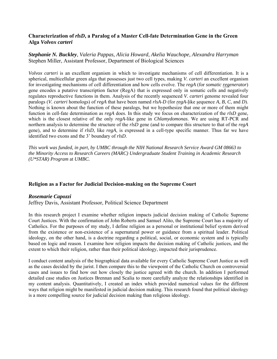# **Characterization of** *rlsD***, a Paralog of a Master Cell-fate Determination Gene in the Green Alga** *Volvox carteri*

*Stephanie N. Buckley, Valeria Pappas, Alicia Howard, Akelia Wauchope, Alexandra Harryman*  Stephen Miller, Assistant Professor, Department of Biological Sciences

*Volvox carteri* is an excellent organism in which to investigate mechanisms of cell differentiation. It is a spherical, multicellular green alga that possesses just two cell types, making *V. carteri* an excellent organism for investigating mechanisms of cell differentiation and how cells evolve. The *regA* (for *somatic regenerator*) gene encodes a putative transcription factor (RegA) that is expressed only in somatic cells and negatively regulates reproductive functions in them. Analysis of the recently sequenced *V. carteri* genome revealed four paralogs (*V. carteri* homologs) of *regA* that have been named *rlsA*-*D* (for *regA*-like sequence *A*, *B*, *C*, and *D*). Nothing is known about the function of these paralogs, but we hypothesize that one or more of them might function in cell-fate determination as *regA* does. In this study we focus on characterization of the *rlsD* gene, which is the closest relative of the only *regA*-like gene in *Chlamydomonas*. We are using RT-PCR and northern analysis to determine the structure of the *rlsD* gene (and to compare this structure to that of the *regA* gene), and to determine if *rlsD*, like *regA*, is expressed in a cell-type specific manner. Thus far we have identified two exons and the 3' boundary of *rlsD*.

*This work was funded, in part, by UMBC through the NIH National Research Service Award GM 08663 to the Minority Access to Research Careers (MARC) Undergraduate Student Training in Academic Research (U\*STAR) Program* at *UMBC.* 

# **Religion as a Factor for Judicial Decision-making on the Supreme Court**

#### *Rosemarie Capozzi*

Jeffrey Davis, Assistant Professor, Political Science Department

In this research project I examine whether religion impacts judicial decision making of Catholic Supreme Court Justices. With the confirmation of John Roberts and Samuel Alito, the Supreme Court has a majority of Catholics. For the purposes of my study, I define religion as a personal or institutional belief system derived from the existence or non-existence of a supernatural power or guidance from a spiritual leader. Political ideology, on the other hand, is a doctrine regarding a political, social, or economic system and is typically based on logic and reason. I examine how religion impacts the decision making of Catholic justices, and the extent to which their religion, rather than their political ideology, impacted their jurisprudence.

I conduct content analysis of the biographical data available for every Catholic Supreme Court Justice as well as the cases decided by the jurist. I then compare this to the viewpoint of the Catholic Church on controversial cases and issues to find how out how closely the justice agreed with the church. In addition I performed detailed case studies on Justices Brennan and Scalia to more carefully analyze the relationships identified in my content analysis. Quantitatively, I created an index which provided numerical values for the different ways that religion might be manifested in judicial decision making. This research found that political ideology is a more compelling source for judicial decision making than religious ideology.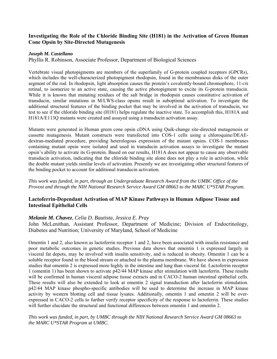# **Investigating the Role of the Chloride Binding Site (H181) in the Activation of Green Human Cone Opsin by Site-Directed Mutagenesis**

#### *Joseph M. Castellano*

Phyllis R. Robinson, Associate Professor, Department of Biological Sciences

Vertebrate visual photopigments are members of the superfamily of G-protein coupled receptors (GPCRs), which includes the well-characterized photopigment rhodopsin, found in the membranous disks of the outer segment of the rod. In rhodopsin, light absorption causes the protein's covalently-bound chromophore, 11-*cis* retinal, to isomerize to an active state, causing the active photopigment to excite its G-protein transducin. While it is known that mutating residues of the salt bridge in rhodopsin causes constitutive activation of transducin, similar mutations in M/LWS-class opsins result in suboptimal activation. To investigate the additional structural features of the binding pocket that may be involved in the activation of transducin, we test to see if the chloride binding site (H181) helps regulate the inactive state. To accomplish this, H181A and H181A/E113Q mutants were created and assayed using a transducin activation assay.

Mutants were generated in Human green cone opsin cDNA using Quik-change site-directed mutagenesis or cassette mutagenesis. Mutant constructs were transfected into COS-1 cells using a chloroquine/DEAEdextran-mediated procedure, providing heterologous expression of the mutant opsins. COS-1 membranes containing mutant opsin were isolated and used in transducin activation assays to investigate the mutant opsin's ability to activate its G-protein. Based on our results, H181A does not appear to cause any observable transducin activation, indicating that the chloride binding site alone does not play a role in activation, while the double mutant yields similar levels of activation. Presently we are investigating other structural features of the binding pocket to account for additional transducin activation.

*This work was funded, in part, through an Undergraduate Research Award from the UMBC Office of the Provost and through the NIH National Research Service Award GM 08663 to the MARC U\*STAR Program.*

# **Lactoferrin-Dependant Activation of MAP Kinase Pathways in Human Adipose Tissue and Intestinal Epithelial Cells**

# *Melanie M. Chavez, Celia D. Bautista, Jessica E. Pray*

John McLenithan, Assistant Professor, Department of Medicine; Division of Endocrinology, Diabetes and Nutrition; University of Maryland, School of Medicine

Omentin 1 and 2, also known as lactoferrin receptor 1 and 2, have been associated with insulin resistance and poor metabolic outcomes in genetic studies. Previous data shows that omentin 1 is expressed largely in visceral fat depots, may be involved with insulin sensitivity, and is reduced in obesity. Omentin 1 can be a soluble receptor found in the blood stream or attached to the plasma membrane. We have shown in expression studies that omentin 2 is expressed more highly in the intestine and lung than visceral fat. Lactoferrin receptor 1 (omentin 1) has been shown to activate p42/44 MAP kinase after stimulation with lactoferrin. These results will be confirmed in human visceral adipose tissue extracts and in CACO-2 human intestinal epithelial cells. These results will also be extended to look at omentin 2 signal transduction after lactoferrin stimulation. p42/44 MAP kinase phospho-specific antibodies will be used to determine the increase in MAP kinase activity by western blotting cell and tissue lysates. Additionally, omentin 1 and omentin 2 will be overexpressed in CACO-2 cells to further verify receptor specificity of the response to lactoferrin. These studies will further elucidate the structural and functional differences between omentin 1 and omentin 2.

*This work was funded, in part, by UMBC through the NIH National Research Service Award GM 08663 to the MARC U\*STAR Program* at *UMBC.*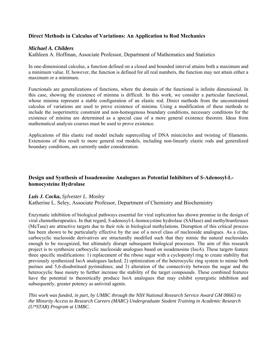# **Direct Methods in Calculus of Variations: An Application to Rod Mechanics**

## *Michael A. Childers*

Kathleen A. Hoffman, Associate Professor, Department of Mathematics and Statistics

In one-dimensional calculus, a function defined on a closed and bounded interval attains both a maximum and a minimum value. If, however, the function is defined for all real numbers, the function may not attain either a maximum or a minimum.

Functionals are generalizations of functions, where the domain of the functional is infinite dimensional. In this case, showing the existence of minima is difficult. In this work, we consider a particular functional, whose minima represent a stable configuration of an elastic rod. Direct methods from the unconstrained calculus of variations are used to prove existence of minima. Using a modification of these methods to include the isoperimetric constraint and non-homogenous boundary conditions, necessary conditions for the existence of minima are determined as a special case of a more general existence theorem. Ideas from mathematical analysis courses must be used to prove existence.

Applications of this elastic rod model include supercoiling of DNA minicircles and twisting of filaments. Extensions of this result to more general rod models, including non-linearly elastic rods and generalized boundary conditions, are currently under consideration.

# **Design and Synthesis of Isoadenosine Analogues as Potential Inhibitors of** *S***-Adenosyl-Lhomocysteine Hydrolase**

#### *Luis J. Cocka***,** *Sylvester L. Mosley*

Katherine L. Seley, Associate Professor, Department of Chemistry and Biochemistry

Enzymatic inhibition of biological pathways essential for viral replication has shown promise in the design of viral chemotherapeutics. In that regard, *S*-adenosyl-L-homocystine hydrolase (SAHase) and methyltranferases (MeTase) are attractive targets due to their role in biological methylations. Disruption of this critical process has been shown to be particularly effective by the use of a novel class of nucleoside analogues. As a class, carbocyclic nucleoside derivatives are structurally modified such that they mimic the natural nucleosides enough to be recognized, but ultimately disrupt subsequent biological processes. The aim of this research project is to synthesize carbocyclic nucleoside analogues based on isoadenosine (IsoA). These targets feature three specific modifications: 1) replacement of the ribose sugar with a cyclopentyl ring to create stability that previously synthesized IsoA analogues lacked; 2) optimization of the heterocyclic ring system to mimic both purines and 5,6-disubstitued pyrimidines; and 3) alteration of the connectivity between the sugar and the heterocyclic base moiety to further increase the stability of the target compounds. These combined features have the potential to theoretically produce IsoA analogues that may exhibit synergistic inhibition and subsequently, greater potency as antiviral agents.

*This work was funded, in part, by UMBC through the NIH National Research Service Award GM 08663 to the Minority Access to Research Careers (MARC) Undergraduate Student Training in Academic Research (U\*STAR) Program* at *UMBC.*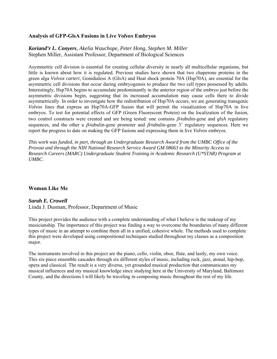## **Analysis of GFP-GlsA Fusions in Live** *Volvox* **Embryos**

# *Koriand'r L. Conyers, Akelia Wauchope, Peter Hong, Stephen M. Miller*  Stephen Miller, Assistant Professor, Department of Biological Sciences

Asymmetric cell division is essential for creating cellular diversity in nearly all multicellular organisms, but little is known about how it is regulated. Previous studies have shown that two chaperone proteins in the green alga *Volvox carteri*, Gonidialess A (GlsA) and Heat shock protein 70A (Hsp70A), are essential for the asymmetric cell divisions that occur during embryogensis to produce the two cell types possessed by adults. Interestingly, Hsp70A begins to accumulate predominantly in the anterior region of the embryo just before the asymmetric divisions begin, suggesting that its increased accumulation may cause cells there to divide asymmetrically. In order to investigate how the redistribution of Hsp70A occurs, we are generating transgenic *Volvox* lines that express an Hsp70A-GFP fusion that will permit the visualization of Hsp70A in live embryos. To test for potential effects of GFP (Green Fluorescent Protein) on the localization of the fusion, two control constructs were created and are being tested: one contains β*-*tubulin-gene and *glsA* regulatory sequences, and the other a β*-*tubulin-gene promoter and β*-*tubulin-gene 3' regulatory sequences. Here we report the progress to date on making the GFP fusions and expressing them in live *Volvox* embryos.

*This work was funded, in part, through an Undergraduate Research Award from the UMBC Office of the Provost and through the NIH National Research Service Award GM 08663 to the Minority Access to Research Careers (MARC) Undergraduate Student Training in Academic Research (U\*STAR) Program* at *UMBC*.

# **Woman Like Me**

#### *Sarah E. Crowell*

Linda J. Dusman, Professor, Department of Music

This project provides the audience with a complete understanding of what I believe is the makeup of my musicianship. The importance of this project was finding a way to overcome the boundaries of many different types of music in an attempt to combine them all in a unified, cohesive whole. The methods used to complete this project were developed using compositional techniques studied throughout my classes as a composition major.

The instruments involved in this project are the piano, cello, violin, oboe, flute, and lastly, my own voice. This six-piece ensemble cascades through six different styles of music, including rock, jazz, atonal, hip-hop, opera and classical. The result is a very diverse, yet grounded musical production that communicates my musical influences and my musical knowledge since studying here at the University of Maryland, Baltimore County, and the directions I will likely be traveling in composing music throughout the rest of my life.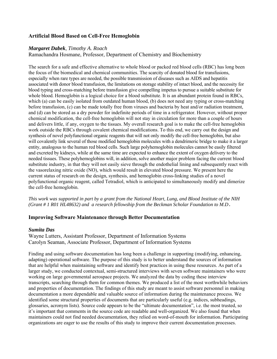# **Artificial Blood Based on Cell-Free Hemoglobin**

## *Margaret Dabek*, *Timothy A. Roach*

Ramachandra Hosmane, Professor, Department of Chemistry and Biochemistry

The search for a safe and effective alternative to whole blood or packed red blood cells (RBC) has long been the focus of the biomedical and chemical communities. The scarcity of donated blood for transfusions, especially when rare types are needed, the possible transmission of diseases such as AIDS and hepatitis associated with donor blood transfusion, the limitations on storage stability of intact blood, and the necessity for blood typing and cross-matching before transfusion give compelling impetus to pursue a suitable substitute for whole blood. Hemoglobin is a logical choice for a blood substitute. It is an abundant protein found in RBCs, which (a) can be easily isolated from outdated human blood, (b) does not need any typing or cross-matching before transfusion, (c) can be made totally free from viruses and bacteria by heat and/or radiation treatment, and (d) can be stored as a dry powder for indefinite periods of time in a refrigerator. However, without proper chemical modification, the cell-free hemoglobin will not stay in circulation for more than a couple of hours and delivers little, if any, oxygen to the tissues. My overall research goal is to make the cell-free hemoglobin work outside the RBCs through covalent chemical modifications. To this end, we carry out the design and synthesis of novel polyfunctional organic reagents that will not only modify the cell-free hemoglobin, but also will covalently link several of those modified hemoglobin molecules with a dendrimeric bridge to make it a larger entity, analogous to the human red blood cells. Such large polyhemoglobin molecules cannot be easily filtered and excreted by kidneys, while at the same time are expected to enhance the extent of oxygen delivery to the needed tissues. These polyhemoglobins will, in addition, solve another major problem facing the current blood substitute industry, in that they will not easily sieve through the endothelial lining and subsequently react with the vasorelaxing nitric oxide (NO), which would result in elevated blood pressure. We present here the current status of research on the design, synthesis, and hemoglobin cross-linking studies of a novel polyfunctional organic reagent, called Tetradiol, which is anticipated to simultaneously modify and dimerize the cell-free hemoglobin.

*This work was supported in part by a grant from the National Heart, Lung, and Blood Institute of the NIH (Grant # 1 R01 HL48632) and a research fellowship from the Beckman Scholar Foundation to M.D.*

# **Improving Software Maintenance through Better Documentation**

#### *Sumita Das*

Wayne Lutters, Assistant Professor, Department of Information Systems Carolyn Seaman, Associate Professor, Department of Information Systems

Finding and using software documentation has long been a challenge in supporting (modifying, enhancing, adapting) operational software. The purpose of this study is to better understand the sources of information that are helpful when maintaining software and identify best practices in using these resources. As part of a larger study, we conducted contextual, semi-structured interviews with seven software maintainers who were working on large governmental aerospace projects. We analyzed the data by coding these interview transcripts, searching through them for common themes. We produced a list of the most worthwhile behaviors and properties of documentation. The findings of this study are meant to assist software personnel in making documentation a more dependable and valuable source of information during the maintenance process. We identified some structural properties of documents that are particularly useful (e.g. indices, subheadings, glossaries, acronym lists). Source code appears to be the "ultimate documentation", i.e. the most trusted, so it's important that comments in the source code are readable and well-organized. We also found that when maintainers could not find needed documentation, they relied on word-of-mouth for information. Participating organizations are eager to use the results of this study to improve their current documentation processes.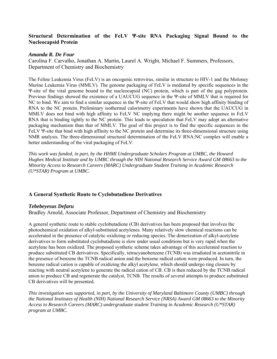# **Structural Determination of the FeLV Ψ-site RNA Packaging Signal Bound to the Nucleocapsid Protein**

#### *Amanda R. De Four*

Carolina F. Carvalho, Jonathan A. Martin, Laurel A. Wright, Michael F. Summers, Professors, Department of Chemistry and Biochemistry

The Feline Leukemia Virus (FeLV) is an oncogenic retrovirus, similar in structure to HIV-1 and the Moloney Murine Leukemia Virus (MMLV). The genome packaging of FeLV is mediated by specific sequences in the Ψ-site of the viral genome bound to the nucleocapsid (NC) protein, which is part of the gag polyprotein. Previous findings showed the existence of a UAUCUG sequence in the Ψ-site of MMLV that is required for NC to bind. We aim to find a similar sequence in the Ψ-site of FeLV that would show high affinity binding of RNA to the NC protein. Preliminary isothermal calorimetry experiments have shown that the UAUCUG in MMLV does not bind with high affinity to FeLV NC implying there might be another sequence in FeLV RNA that is binding tightly to the NC protein. This leads to speculation that FeLV may adopt an alternative packaging mechanism than that of MMLV. The goal of this project is to find the specific sequences in the FeLV Ψ-site that bind with high affinity to the NC protein and determine its three-dimensional structure using NMR analysis. The three-dimensional structural determination of the FeLV RNA:NC complex will enable a better understanding of the viral packaging of FeLV.

*This work was funded, in part, by the HHMI Undergraduate Scholars Program at UMBC, the Howard Hughes Medical Institute and by UMBC through the NIH National Research Service Award GM 08663 to the Minority Access to Research Careers (MARC) Undergraduate Student Training in Academic Research (U\*STAR) Program* at *UMBC.* 

# **A General Synthetic Route to Cyclobutadiene Derivatives**

# *Tebebeyesus Defaru*

Bradley Arnold, Associate Professor, Department of Chemistry and Biochemistry

A general synthetic route to stable cyclobutadiene (CB) derivatives has been proposed that involves the photochemical oxidation of alkyl-substituted acetylenes. Many relatively slow chemical reactions can be accelerated in the presence of catalytic oxidizing or reducing species. The dimerization of alkyl-acetylene derivatives to form substituted cyclobutadiene is slow under usual conditions but is very rapid when the acetylene has been oxidized. The proposed synthetic scheme takes advantage of this accelerated reaction to produce substituted CB derivatives. Specifically, tetracyanobenzene (TCNB) was irradiated in acetonitrile in the presence of benzene the TCNB radical anion and the benzene radical cation were produced. In turn, the benzene radical cation is capable of oxidizing the alkyl acetylene, which should undergo ring closure by reacting with neutral acetylene to generate the radical cation of CB. CB is then reduced by the TCNB radical anion to produce CB and regenerate the catalyst, TCNB. The results of several attempts to produce substituted CB derivatives will be presented.

*This investigation was supported, in part, by the University of Maryland Baltimore County (UMBC) through the National Institutes of Health (NIH) National Research Service (NRSA) Award GM 08663 to the Minority Access to Research Careers (MARC) undergraduate student Training in Academic Research (U\*STAR) program at UMBC.*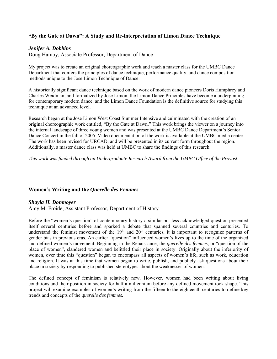# **"By the Gate at Dawn": A Study and Re-interpretation of Limon Dance Technique**

## *Jenifer A. Dobbins*

Doug Hamby, Associate Professor, Department of Dance

My project was to create an original choreographic work and teach a master class for the UMBC Dance Department that confers the principles of dance technique, performance quality, and dance composition methods unique to the Jose Limon Technique of Dance.

A historically significant dance technique based on the work of modern dance pioneers Doris Humphrey and Charles Weidman, and formalized by Jose Limon, the Limon Dance Principles have become a underpinning for contemporary modern dance, and the Limon Dance Foundation is the definitive source for studying this technique at an advanced level.

Research began at the Jose Limon West Coast Summer Intensive and culminated with the creation of an original choreographic work entitled, "By the Gate at Dawn." This work brings the viewer on a journey into the internal landscape of three young women and was presented at the UMBC Dance Department's Senior Dance Concert in the fall of 2005. Video documentation of the work is available at the UMBC media center. The work has been revised for URCAD, and will be presented in its current form throughout the region. Additionally, a master dance class was held at UMBC to share the findings of this research.

*This work was funded through an Undergraduate Research Award from the UMBC Office of the Provost.* 

#### **Women's Writing and the** *Querelle des Femmes*

#### *Shayla H. Donmoyer*

Amy M. Froide, Assistant Professor, Department of History

Before the "women's question" of contemporary history a similar but less acknowledged question presented itself several centuries before and sparked a debate that spanned several countries and centuries. To understand the feminist movement of the  $19<sup>th</sup>$  and  $20<sup>th</sup>$  centuries, it is important to recognize patterns of gender bias in previous eras. An earlier "question" influenced women's lives up to the time of the organized and defined women's movement. Beginning in the Renaissance, the *querelle des femmes*, or "question of the place of women", slandered women and belittled their place in society. Originally about the inferiority of women, over time this "question" began to encompass all aspects of women's life, such as work, education and religion. It was at this time that women began to write, publish, and publicly ask questions about their place in society by responding to published stereotypes about the weaknesses of women.

The defined concept of feminism is relatively new. However, women had been writing about living conditions and their position in society for half a millennium before any defined movement took shape. This project will examine examples of women's writing from the fifteen to the eighteenth centuries to define key trends and concepts of the *querelle des femmes.*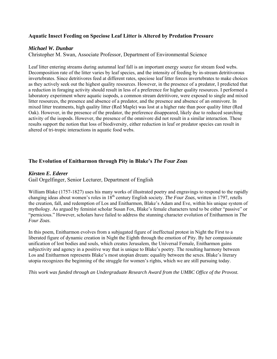# **Aquatic Insect Feeding on Speciose Leaf Litter is Altered by Predation Pressure**

## *Michael W. Dunbar*

Christopher M. Swan, Associate Professor, Department of Environmental Science

Leaf litter entering streams during autumnal leaf fall is an important energy source for stream food webs. Decomposition rate of the litter varies by leaf species, and the intensity of feeding by in-stream detritivorous invertebrates. Since detritivores feed at different rates, speciose leaf litter forces invertebrates to make choices as they actively seek out the highest quality resources. However, in the presence of a predator, I predicted that a reduction in foraging activity should result in less of a preference for higher quality resources. I performed a laboratory experiment where aquatic isopods, a common stream detritivore, were exposed to single and mixed litter resources, the presence and absence of a predator, and the presence and absence of an omnivore. In mixed litter treatments, high quality litter (Red Maple) was lost at a higher rate than poor quality litter (Red Oak). However, in the presence of the predator, the preference disappeared, likely due to reduced searching activity of the isopods. However, the presence of the omnivore did not result in a similar interaction. These results support the notion that loss of biodiversity, either reduction in leaf or predator species can result in altered of tri-tropic interactions in aquatic food webs.

# **The Evolution of Enitharmon through Pity in Blake's** *The Four Zoas*

### *Kirsten E. Ederer*

Gail Orgelfinger, Senior Lecturer, Department of English

William Blake (1757-1827) uses his many works of illustrated poetry and engravings to respond to the rapidly changing ideas about women's roles in 18th century English society. *The Four Zoas*, written in 1797, retells the creation, fall, and redemption of Los and Enitharmon, Blake's Adam and Eve, within his unique system of mythology. As argued by feminist scholar Susan Fox, Blake's female characters tend to be either "passive" or "pernicious." However, scholars have failed to address the stunning character evolution of Enitharmon in *The Four Zoas*.

In this poem, Enitharmon evolves from a subjugated figure of ineffectual protest in Night the First to a liberated figure of dynamic creation in Night the Eighth through the emotion of Pity. By her compassionate unification of lost bodies and souls, which creates Jerusalem, the Universal Female, Enitharmon gains subjectivity and agency in a positive way that is unique to Blake's poetry. The resulting harmony between Los and Enitharmon represents Blake's most utopian dream: equality between the sexes. Blake's literary utopia recognizes the beginning of the struggle for women's rights, which we are still pursuing today.

*This work was funded through an Undergraduate Research Award from the UMBC Office of the Provost.*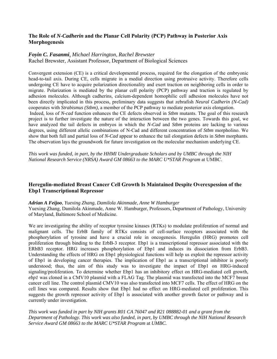# **The Role of** *N-Cadherin* **and the Planar Cell Polarity (PCP) Pathway in Posterior Axis Morphogenesis**

## *Foyin C. Fasanmi*, *Michael Harrington*, *Rachel Brewster*

Rachel Brewster, Assistant Professor, Department of Biological Sciences

Convergent extension (CE) is a critical developmental process, required for the elongation of the embryonic head-to-tail axis. During CE, cells migrate in a medial direction using protrusive activity. Therefore cells undergoing CE have to acquire polarization directionality and exert traction on neighboring cells in order to migrate. Polarization is mediated by the planar cell polarity (PCP) pathway and traction is regulated by adhesion molecules. Although cadherins, calcium-dependent homophilic cell adhesion molecules have not been directly implicated in this process, preliminary data suggests that zebrafish *Neural Cadherin (N-Cad)* cooperates with *Strabismus (Stbm)*, a member of the PCP pathway to mediate posterior axis elongation. Indeed, loss of *N-cad* function enhances the CE defects observed in *Stbm* mutants. The goal of this research project is to further investigate the nature of the interaction between the two genes. Towards this goal, we have analyzed the tail defects in embryos in which the *N-Cad* and *Stbm* proteins are lacking to various degrees, using different allelic combinations of N-Cad and different concentration of *Stbm* morpholino. We show that both full and partial loss of *N-Cad* appear to enhance the tail elongation defects in *Stbm* morphants. The observation lays the groundwork for future investigation on the molecular mechanism underlying CE.

*This work was funded, in part, by the HHMI Undergraduate Scholars and by UMBC through the NIH National Research Service (NRSA) Award GM 08663 to the MARC U\*STAR Program* at UMBC.

# **Heregulin-mediated Breast Cancer Cell Growth Is Maintained Despite Overexpession of the Ebp1 Transcriptional Repressor**

#### *Adrian A Feijoo*, *Yuexing Zhang*, *Damilola Akinmade*, *Anne W Hamburger*

Yuexing Zhang, Damilola Akinmade, Anne W. Hamburger, Professors, Department of Pathology, University of Maryland, Baltimore School of Medicine.

We are investigating the ability of receptor tyrosine kinases (RTKs) to modulate proliferation of normal and malignant cells. The ErbB family of RTKs consists of cell-surface receptors associated with the phosphorylation of tyrosine and have a crucial role in oncogenesis. Heregulin (HRG) promotes cell proliferation through binding to the ErbB-3 receptor. Ebp1 is a transcriptional repressor associated with the ERbB3 receptor. HRG increases phosphorylation of Ebp1 and induces its dissociation from ErbB3. Understanding the effects of HRG on Ebp1 physiological functions will help us exploit the repressor activity of Ebp1 in developing cancer therapies. The implication of Ebp1 as a transcriptional inhibitor is poorly understood; thus, the aim of this study was to investigate the impact of Ebp1 on HRG-induced signaling/proliferation. To determine whether Ebp1 has an inhibitory effect on HRG-mediated cell growth, *ebp1* was cloned in a CMV10 plasmid with a FLAG Tag. The plasmid was transfected into the MCF7 breast cancer cell line. The control plasmid CMV10 was also transfected into MCF7 cells. The effect of HRG on the cell lines was compared. Results show that Ebp1 had no effect on HRG-mediated cell proliferation. This suggests the growth repressor activity of Ebp1 is associated with another growth factor or pathway and is currently under investigation.

*This work was funded in part by NIH grants R01 CA 76047 and R21 088882-01 and a grant from the Department of Pathology. This work was also funded, in part, by UMBC through the NIH National Research Service Award GM 08663 to the MARC U\*STAR Program* at *UMBC.*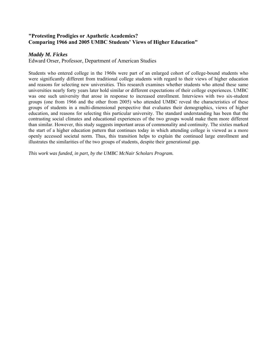## **"Protesting Prodigies or Apathetic Academics? Comparing 1966 and 2005 UMBC Students' Views of Higher Education"**

### *Maddy M. Fickes*

Edward Orser, Professor, Department of American Studies

Students who entered college in the 1960s were part of an enlarged cohort of college-bound students who were significantly different from traditional college students with regard to their views of higher education and reasons for selecting new universities. This research examines whether students who attend these same universities nearly forty years later hold similar or different expectations of their college experiences. UMBC was one such university that arose in response to increased enrollment. Interviews with two six-student groups (one from 1966 and the other from 2005) who attended UMBC reveal the characteristics of these groups of students in a multi-dimensional perspective that evaluates their demographics, views of higher education, and reasons for selecting this particular university. The standard understanding has been that the contrasting social climates and educational experiences of the two groups would make them more different than similar. However, this study suggests important areas of commonality and continuity. The sixties marked the start of a higher education pattern that continues today in which attending college is viewed as a more openly accessed societal norm. Thus, this transition helps to explain the continued large enrollment and illustrates the similarities of the two groups of students, despite their generational gap.

*This work was funded, in part, by the UMBC McNair Scholars Program.*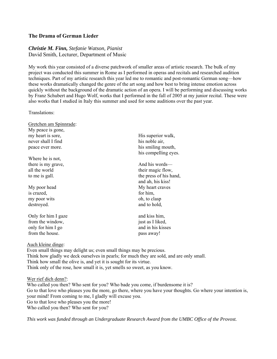# **The Drama of German Lieder**

# *Christie M. Finn, Stefanie Watson, Pianist*

David Smith, Lecturer, Department of Music

My work this year consisted of a diverse patchwork of smaller areas of artistic research. The bulk of my project was conducted this summer in Rome as I performed in operas and recitals and researched audition techniques. Part of my artistic research this year led me to romantic and post-romantic German song—how these works dramatically changed the genre of the art song and how best to bring intense emotion across quickly without the background of the dramatic action of an opera. I will be performing and discussing works by Franz Schubert and Hugo Wolf, works that I performed in the fall of 2005 at my junior recital. These were also works that I studied in Italy this summer and used for some auditions over the past year.

Translations:

| Gretchen am Spinnrade:    |                         |
|---------------------------|-------------------------|
| My peace is gone,         |                         |
| my heart is sore,         | His superior walk,      |
| never shall I find        | his noble air,          |
| peace ever more.          | his smiling mouth,      |
|                           | his compelling eyes.    |
| Where he is not,          |                         |
| there is my grave,        | And his words-          |
| all the world             | their magic flow,       |
| to me is gall.            | the press of his hand,  |
|                           | and ah, his kiss!       |
| My poor head              | My heart craves         |
| is crazed,                | for him,                |
| my poor wits              | oh, to clasp            |
| destroyed.                | and to hold,            |
| Only for him I gaze       | and kiss him,           |
| from the window,          | just as I liked,        |
| only for him I go         | and in his kisses       |
| from the house.           | pass away!              |
| <u>Auch kleine dinge:</u> |                         |
| 11.1                      | 11.11<br>$\blacksquare$ |

Even small things may delight us; even small things may be precious. Think how gladly we deck ourselves in pearls; for much they are sold, and are only small. Think how small the olive is, and yet it is sought for its virtue. Think only of the rose, how small it is, yet smells so sweet, as you know.

Wer rief dich denn?:

Who called you then? Who sent for you? Who bade you come, if burdensome it is? Go to that love who pleases you the more, go there, where you have your thoughts. Go where your intention is, your mind! From coming to me, I gladly will excuse you. Go to that love who pleases you the more! Who called you then? Who sent for you?

*This work was funded through an Undergraduate Research Award from the UMBC Office of the Provost.*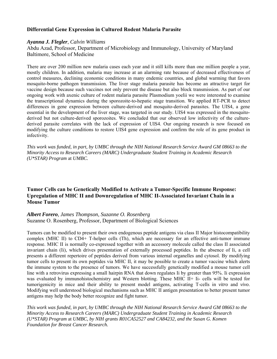# **Differential Gene Expression in Cultured Rodent Malaria Parasite**

#### *Ayanna J. Flegler*, *Calvin Williams*

Abdu Azad, Professor, Department of Microbiology and Immunology, University of Maryland Baltimore, School of Medicine

There are over 200 million new malaria cases each year and it still kills more than one million people a year, mostly children. In addition, malaria may increase at an alarming rate because of decreased effectiveness of control measures, declining economic conditions in many endemic countries, and global warming that favors mosquito-borne pathogen transmission. The liver stage malaria parasite has become an attractive target for vaccine design because such vaccines not only prevent the disease but also block transmission. As part of our ongoing work with axenic culture of rodent malaria parasite Plasmodium yoelii we were interested to examine the transcriptional dynamics during the sporozoite-to-hepatic stage transition. We applied RT-PCR to detect differences in gene expression between culture-derived and mosquito-derived parasites. The UIS4, a gene essential in the development of the liver stage, was targeted in our study. UIS4 was expressed in the mosquitoderived but not culture-derived sporozoites. We concluded that our observed low infectivity of the culturederived parasite correlates with the lack of expression of UIS4. Our ongoing research is now focused on modifying the culture conditions to restore UIS4 gene expression and confirm the role of its gene product in infectivity.

*This work was funded, in part, by UMBC through the NIH National Research Service Award GM 08663 to the Minority Access to Research Careers (MARC) Undergraduate Student Training in Academic Research (U\*STAR) Program* at *UMBC.*

# **Tumor Cells can be Genetically Modified to Activate a Tumor-Specific Immune Response: Upregulation of MHC II and Downregulation of MHC II-Associated Invariant Chain in a Mouse Tumor**

*Albert Forero, James Thompson, Suzanne O. Rosenberg*  Suzanne O. Rosenberg, Professor, Department of Biological Sciences

Tumors can be modified to present their own endogenous peptide antigens via class II Major histocompatibility complex (MHC II) to CD4+ T-helper cells (Th), which are necessary for an effective anti-tumor immune response. MHC II is normally co-expressed together with an accessory molecule called the class II associated invariant chain (Ii), which drives presentation of externally processed peptides. In the absence of Ii, a cell presents a different repertoire of peptides derived from various internal organelles and cytosol. By modifying tumor cells to present its own peptides via MHC II, it may be possible to create a tumor vaccine which alerts the immune system to the presence of tumors. We have successfully genetically modified a mouse tumor cell line with a retrovirus expressing a small hairpin RNA that down regulates Ii by greater than 95%. Ii expression was evaluated by immunohistochemistry and Western blotting. These MHC II+ Ii- cells will be tested for tumorigenicity in mice and their ability to present model antigens, activating T-cells in *vitro* and *vivo*. Modifying well understood biological mechanisms such as MHC II antigen presentation to better present tumor antigens may help the body better recognize and fight tumor.

*This work was funded, in part, by UMBC through the NIH National Research Service Award GM 08663 to the Minority Access to Research Careers (MARC) Undergraduate Student Training in Academic Research (U\*STAR) Program* at *UMBC, by NIH grants R01CA52527 and CA84232, and the Susan G. Komen Foundation for Breast Cancer Research.*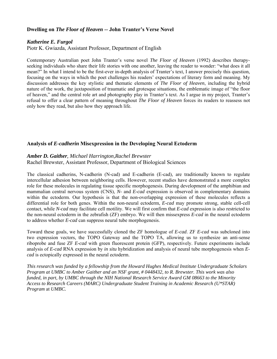# **Dwelling on** *The Floor of Heaven --* **John Tranter's Verse Novel**

# *Katherine E. Furgol*

Piotr K. Gwiazda, Assistant Professor, Department of English

Contemporary Australian poet John Tranter's verse novel *The Floor of Heaven* (1992) describes therapyseeking individuals who share their life stories with one another, leaving the reader to wonder: "what does it all mean?" In what I intend to be the first-ever in-depth analysis of Tranter's text, I answer precisely this question, focusing on the ways in which the poet challenges his readers' expectations of literary form and meaning. My discussion addresses the key stylistic and thematic elements of *The Floor of Heaven*, including the hybrid nature of the work, the juxtaposition of traumatic and grotesque situations, the emblematic image of "the floor of heaven," and the central role art and photography play in Tranter's text. As I argue in my project, Tranter's refusal to offer a clear pattern of meaning throughout *The Floor of Heaven* forces its readers to reassess not only how they read, but also how they approach life.

# **Analysis of** *E-cadherin* **Misexpression in the Developing Neural Ectoderm**

# *Amber D. Gaither, Michael Harrington,Rachel Brewster*

Rachel Brewster, Assistant Professor, Department of Biological Sciences

The classical cadherins, N-cadherin (N-cad) and E-cadherin (E-cad), are traditionally known to regulate intercellular adhesion between neighboring cells. However, recent studies have demonstrated a more complex role for these molecules in regulating tissue specific morphogenesis. During development of the amphibian and mammalian central nervous system (CNS), *N-* and *E-cad* expression is observed in complementary domains within the ectoderm. Our hypothesis is that the non-overlapping expression of these molecules reflects a differential role for both genes. Within the non-neural ectoderm, *E-cad* may promote strong, stable cell-cell contact, while *N-cad* may facilitate cell motility. We will first confirm that *E-cad* expression is also restricted to the non-neural ectoderm in the zebrafish (ZF) embryo. We will then missexpress *E-cad* in the neural ectoderm to address whether *E-cad* can suppress neural tube morphogenesis.

Toward these goals, we have successfully cloned the ZF homologue of *E-cad*. ZF *E-cad* was subcloned into two expression vectors, the TOPO Gateway and the TOPO TA, allowing us to synthesize an anti-sense riboprobe and fuse ZF *E-cad* with green fluorescent protein (GFP), respectively. Future experiments include analysis of *E-cad* RNA expression by *in situ* hybridization and analysis of neural tube morphogenesis when *Ecad* is ectopically expressed in the neural ectoderm.

*This research was funded by a fellowship from the Howard Hughes Medical Institute Undergraduate Scholars Program at UMBC to Amber Gaither and an NSF grant, # 0448432, to R. Brewster. This work was also funded, in part, by UMBC through the NIH National Research Service Award GM 08663 to the Minority Access to Research Careers (MARC) Undergraduate Student Training in Academic Research (U\*STAR) Program* at *UMBC.*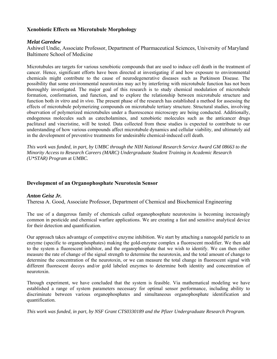# **Xenobiotic Effects on Microtubule Morphology**

## *Melat Garedew*

Ashiwel Undie, Associate Professor, Department of Pharmaceutical Sciences, University of Maryland Baltimore School of Medicine

Microtubules are targets for various xenobiotic compounds that are used to induce cell death in the treatment of cancer. Hence, significant efforts have been directed at investigating if and how exposure to environmental chemicals might contribute to the cause of neurodegenerative diseases such as Parkinson Disease. The possibility that some environmental neurotoxins may act by interfering with microtubule function has not been thoroughly investigated. The major goal of this research is to study chemical modulation of microtubule formation, conformation, and function, and to explore the relationship between microtubule structure and function both *in vitro* and *in vivo*. The present phase of the research has established a method for assessing the effects of microtubule polymerizing compounds on microtubule tertiary structure. Structural studies, involving observation of polymerized microtubules under a fluorescence microscopy are being conducted. Additionally, endogenous molecules such as catecholamines, and xenobiotic molecules such as the anticancer drugs paclitaxel and vincristine, will be tested. Data collected from these studies is expected to contribute to our understanding of how various compounds affect microtubule dynamics and cellular viability, and ultimately aid in the development of preventive treatments for undesirable chemical-induced cell death.

*This work was funded, in part, by UMBC through the NIH National Research Service Award GM 08663 to the Minority Access to Research Careers (MARC) Undergraduate Student Training in Academic Research (U\*STAR) Program* at *UMBC.*

# **Development of an Organophosphate Neurotoxin Sensor**

#### *Anton Geisz Jr.*

Theresa A. Good, Associate Professor, Department of Chemical and Biochemical Engineering

The use of a dangerous family of chemicals called organophosphate neurotoxins is becoming increasingly common in pesticide and chemical warfare applications. We are creating a fast and sensitive analytical device for their detection and quantification.

Our approach takes advantage of competitive enzyme inhibition. We start by attaching a nanogold particle to an enzyme (specific to organophosphates) making the gold-enzyme complex a fluorescent modifier. We then add to the system a fluorescent inhibitor, and the organophosphate that we wish to identify. We can then either measure the rate of change of the signal strength to determine the neurotoxin, and the total amount of change to determine the concentration of the neurotoxin, or we can measure the total change in fluorescent signal with different fluorescent decoys and/or gold labeled enzymes to determine both identity and concentration of neurotoxin.

Through experiment, we have concluded that the system is feasible. Via mathematical modeling we have established a range of system parameters necessary for optimal sensor performance, including ability to discriminate between various organophosphates and simultaneous organophosphate identification and quantification.

*This work was funded, in part, by NSF Grant CTS0330189 and the Pfizer Undergraduate Research Program.*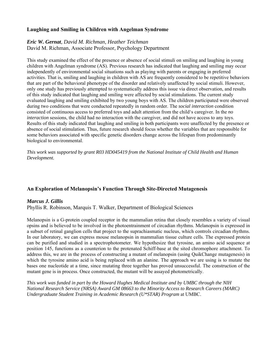# **Laughing and Smiling in Children with Angelman Syndrome**

# *Eric W. Gernat, David M. Richman, Heather Teichman*  David M. Richman, Associate Professor, Psychology Department

This study examined the effect of the presence or absence of social stimuli on smiling and laughing in young children with Angelman syndrome (AS). Previous research has indicated that laughing and smiling may occur independently of environmental social situations such as playing with parents or engaging in preferred activities. That is, smiling and laughing in children with AS are frequently considered to be repetitive behaviors that are part of the behavioral phenotype of the disorder and relatively unaffected by social stimuli. However, only one study has previously attempted to systematically address this issue via direct observation, and results of this study indicated that laughing and smiling were affected by social stimulations. The current study evaluated laughing and smiling exhibited by two young boys with AS. The children participated were observed during two conditions that were conducted repeatedly in random order. The *social interaction* condition consisted of continuous access to preferred toys and adult attention from the child's caregiver. In the *no interaction* sessions, the child had no interaction with the caregiver, and did not have access to any toys. Results of this study indicated that laughing and smiling in both participants were unaffected by the presence or absence of social stimulation. Thus, future research should focus whether the variables that are responsible for some behaviors associated with specific genetic disorders change across the lifespan from predominantly biological to environmental.

*This work was supported by grant R03 HD045419 from the National Institute of Child Health and Human Development.* 

# **An Exploration of Melanopsin's Function Through Site-Directed Mutagenesis**

# *Marcus J. Gillis*

Phyllis R. Robinson, Marquis T. Walker, Department of Biological Sciences

Melanopsin is a G-protein coupled receptor in the mammalian retina that closely resembles a variety of visual opsins and is believed to be involved in the photoentrainment of circadian rhythms. Melanopsin is expressed in a subset of retinal ganglion cells that project to the suprachiasmatic nucleus, which controls circadian rhythms. In our laboratory, we can express mouse melanopsin in mammalian tissue culture cells. The expressed protein can be purified and studied in a spectrophotometer. We hypothesize that tyrosine, an amino acid sequence at position 145, functions as a counterion to the protenated Schiff-base at the sited chromophore attachment. To address this, we are in the process of constructing a mutant of melanopsin (using QuikChange mutagenesis) in which the tyrosine amino acid is being replaced with an alanine. The approach we are using is to mutate the bases one nucleotide at a time, since mutating three together has proved unsuccessful. The construction of the mutant gene is in process. Once constructed, the mutant will be assayed photometrically.

*This work was funded in part by the Howard Hughes Medical Institute and by UMBC through the NIH National Research Service (NRSA) Award GM 08663 to the Minority Access to Research Careers (MARC) Undergraduate Student Training in Academic Research (U\*STAR) Program* at UMBC.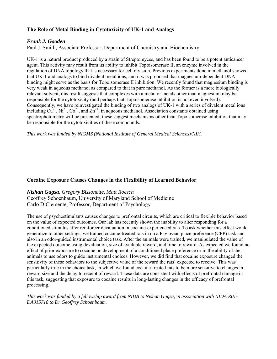# **The Role of Metal Binding in Cytotoxicity of UK-1 and Analogs**

# *Frank J. Gooden*

Paul J. Smith, Associate Professor, Department of Chemistry and Biochemistry

UK-1 is a natural product produced by a strain of Streptomyces, and has been found to be a potent anticancer agent. This activity may result from its ability to inhibit Topoisomerase II, an enzyme involved in the regulation of DNA topology that is necessary for cell division. Previous experiments done in methanol showed that UK-1 and analogs to bind divalent metal ions, and it was proposed that magnesium-dependent DNA binding might serve as the basis for Topoisomerase II inhibition. We recently found that magnesium binding is very weak in aqueous methanol as compared to that in pure methanol. As the former is a more biologically relevant solvent, this result suggests that complexes with a metal or metals other than magnesium may be responsible for the cytotoxicity (and perhaps that Topoisomerase inhibition is not even involved). Consequently, we have reinvestigated the binding of two analogs of UK-1 with a series of divalent metal ions including  $Cu^{2+}$ , Ni<sup>2+</sup>, Co<sup>2+</sup>, and  $Zn^{2+}$ , in aqueous methanol. Association constants obtained using spectrophotometry will be presented; these suggest mechanisms other than Topoisomerase inhibition that may be responsible for the cytotoxicities of these compounds.

*This work was funded by NIGMS (National Institute of General Medical Sciences)/NIH.*

# **Cocaine Exposure Causes Changes in the Flexibility of Learned Behavior**

*Nishan Gugsa, Gregory Bissonette*, *Matt Roesch* 

Geoffrey Schoenbaum, University of Maryland School of Medicine Carlo DiClemente, Professor, Department of Psychology

The use of psychostimulants causes changes to prefrontal circuits, which are critical to flexible behavior based on the value of expected outcomes. Our lab has recently shown the inability to alter responding for a conditioned stimulus after reinforcer devaluation in cocaine-experienced rats. To ask whether this effect would generalize to other settings, we trained cocaine-treated rats in on a Pavlovian place preference (CPP) task and also in an odor-guided instrumental choice task. After the animals were trained, we manipulated the value of the expected outcome using devaluation, size of available reward, and time to reward. As expected we found no effect of prior exposure to cocaine on development of a conditioned place preference or in the ability of the animals to use odors to guide instrumental choices. However, we did find that cocaine exposure changed the sensitivity of these behaviors to the subjective value of the reward the rats' expected to receive. This was particularly true in the choice task, in which we found cocaine-treated rats to be more sensitive to changes in reward size and the delay to receipt of reward. These data are consistent with effects of prefrontal damage in this task, suggesting that exposure to cocaine results in long-lasting changes in the efficacy of prefrontal processing.

*This work was funded by a fellowship award from NIDA to Nishan Gugsa, in association with NIDA R01- DA015718 to Dr Geoffrey Schoenbaum.*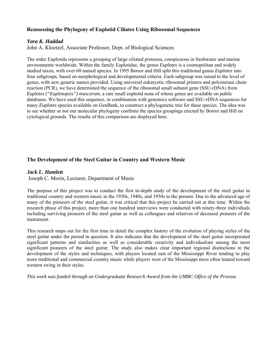# **Reassessing the Phylogeny of Euplotid Ciliates Using Ribosomal Sequences**

# *Yara K. Haddad*

John A. Kloetzel, Associate Professor, Dept. of Biological Sciences

The order Euplotida represents a grouping of large ciliated protozoa, conspicuous in freshwater and marine environments worldwide. Within the family Euplotidae, the genus *Euplotes* is a cosmopolitan and widely studied taxon, with over 60 named species. In 1995 Borror and Hill split this traditional genus *Euplotes* into four subgroups, based on morphological and developmental criteria. Each subgroup was raised to the level of genus, with new generic names provided. Using universal eukaryotic ribosomal primers and polymerase chain reaction (PCR), we have determined the sequence of the ribosomal small subunit gene (SSU-rDNA) from *Euplotes ("Euplotopsis") muscorum*, a rare small euplotid none of whose genes are available on public databases. We have used this sequence, in combination with genomics software and SSU-rDNA sequences for many *Euplotes* species available on GenBank, to construct a phylogenetic tree for these species. The idea was to see whether or not our molecular phylogeny confirms the species groupings erected by Borror and Hill on cytological grounds. The results of this comparison are displayed here.

# **The Development of the Steel Guitar in Country and Western Music**

#### *Jack L. Hamlett*

Joseph C. Morin, Lecturer, Department of Music

The purpose of this project was to conduct the first in-depth study of the development of the steel guitar in traditional country and western music in the 1930s, 1940s, and 1950s to the present. Due to the advanced age of many of the pioneers of the steel guitar, it was critical that this project be carried out at this time. Within the research phase of this project, more than one hundred interviews were conducted with ninety-three individuals including surviving pioneers of the steel guitar as well as colleagues and relatives of deceased pioneers of the instrument.

This research maps out for the first time in detail the complex history of the evolution of playing styles of the steel guitar under the period in question. It also indicates that the development of the steel guitar incorporated significant patterns and similarities as well as considerable creativity and individualism among the most significant pioneers of the steel guitar. The study also makes clear important regional distinctions in the development of the styles and techniques, with players located east of the Mississippi River tending to play more traditional and commercial country music while players west of the Mississippi most often leaned toward western swing in their styles.

*This work was funded through an Undergraduate Research Award from the UMBC Office of the Provost.*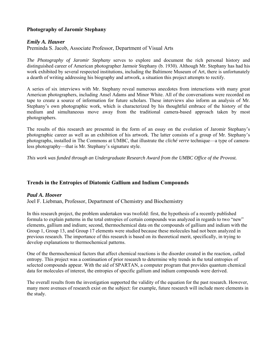# **Photography of Jaromir Stephany**

#### *Emily A. Hauver*

Preminda S. Jacob, Associate Professor, Department of Visual Arts

*The Photography of Jaromir Stephany* serves to explore and document the rich personal history and distinguished career of American photographer Jarmoir Stephany (b. 1930). Although Mr. Stephany has had his work exhibited by several respected institutions, including the Baltimore Museum of Art, there is unfortunately a dearth of writing addressing his biography and artwork, a situation this project attempts to rectify.

A series of six interviews with Mr. Stephany reveal numerous anecdotes from interactions with many great American photographers, including Ansel Adams and Minor White. All of the conversations were recorded on tape to create a source of information for future scholars. These interviews also inform an analysis of Mr. Stephany's own photographic work, which is characterized by his thoughtful embrace of the history of the medium and simultaneous move away from the traditional camera-based approach taken by most photographers.

The results of this research are presented in the form of an essay on the evolution of Jaromir Stephany's photographic career as well as an exhibition of his artwork. The latter consists of a group of Mr. Stephany's photographs, installed in The Commons at UMBC, that illustrate the *cliché verre* technique—a type of cameraless photography—that is Mr. Stephany's signature style.

*This work was funded through an Undergraduate Research Award from the UMBC Office of the Provost.* 

# **Trends in the Entropies of Diatomic Gallium and Indium Compounds**

#### *Paul A. Hoover*

Joel F. Liebman, Professor, Department of Chemistry and Biochemistry

In this research project, the problem undertaken was twofold: first, the hypothesis of a recently published formula to explain patterns in the total entropies of certain compounds was analyzed in regards to two "new" elements, gallium and indium; second, thermochemical data on the compounds of gallium and indium with the Group 1, Group 13, and Group 17 elements were studied because these molecules had not been analyzed in previous research. The importance of this research is based on its theoretical merit, specifically, in trying to develop explanations to thermochemical patterns.

One of the thermochemical factors that affect chemical reactions is the disorder created in the reaction, called entropy. This project was a continuation of prior research to determine why trends in the total entropies of selected compounds appear. With the aid of SPARTAN, a computer program that provides quantum chemical data for molecules of interest, the entropies of specific gallium and indium compounds were derived.

The overall results from the investigation supported the validity of the equation for the past research. However, many more avenues of research exist on the subject: for example, future research will include more elements in the study.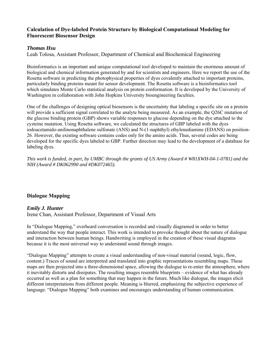# **Calculation of Dye-labeled Protein Structure by Biological Computational Modeling for Fluorescent Biosensor Design**

# *Thomas Hsu*

Leah Tolosa, Assistant Professor, Department of Chemical and Biochemical Engineering

Bioinformatics is an important and unique computational tool developed to maintain the enormous amount of biological and chemical information generated by and for scientists and engineers. Here we report the use of the Rosetta software in predicting the photophysical properties of dyes covalently attached to important proteins, particularly binding proteins meant for sensor development. The Rosetta software is a bioinformatics tool which simulates Monte Carlo statistical analysis on protein conformation. It is developed by the University of Washington in collaboration with John Hopkins University bioengineering faculties.

One of the challenges of designing optical biosensors is the uncertainty that labeling a specific site on a protein will provide a sufficient signal correlated to the analyte being measured. As an example, the Q26C mutation of the glucose binding protein (GBP) shows variable responses to glucose depending on the dye attached to the cysteine mutation. Using Rosetta software, we calculated the structures of GBP labeled with the dyes iodoacetamido-anilinonaphthalene sulfonate (ANS) and N-(1-naphthyl) ethylenediamine (EDANS) on position-26. However, the existing software contains codes only for the amino acids. Thus, several codes are being developed for the specific dyes labeled to GBP. Further direction may lead to the development of a database for labeling dyes.

*This work is funded, in part, by UMBC through the grants of US Army (Award # W81XWH-04-1-0781) and the NIH (Award # DK062990 and #DK072465).* 

# **Dialogue Mapping**

# *Emily J. Hunter*

Irene Chan, Assistant Professor, Department of Visual Arts

In "Dialogue Mapping," overheard conversation is recorded and visually diagramed in order to better understand the way that people interact. This work is intended to provoke thought about the nature of dialogue and interaction between human beings. Handwriting is employed in the creation of these visual diagrams because it is the most universal way to understand sound through images.

"Dialogue Mapping" attempts to create a visual understanding of non-visual material (sound, logic, flow, content.) Traces of sound are interpreted and translated into graphic representations resembling maps. These maps are then projected into a three-dimensional space, allowing the dialogue to re-enter the atmosphere, where it inevitably distorts and dissipates. The resulting images resemble blueprints – evidence of what has already occurred as well as a plan for something that may happen in the future. Much like dialogue, the images elicit different interpretations from different people. Meaning is blurred, emphasizing the subjective experience of language. "Dialogue Mapping" both examines and encourages understanding of human communication.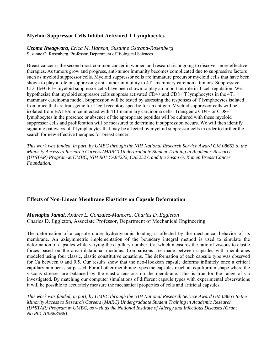# **Myeloid Suppressor Cells Inhibit Activated T Lymphocytes**

# *Uzoma Iheagwara, Erica M. Hanson, Suzanne Ostrand-Rosenberg*

Suzanne O. Rosenberg, Professor, Department of Biological Sciences

Breast cancer is the second most common cancer in women and research is ongoing to discover more effective therapies. As tumors grow and progress, anti-tumor immunity becomes complicated due to suppressive factors such as myeloid suppressor cells. Myeloid suppressor cells are immature precursor myeloid cells that have been shown to play a role in suppressing anti-tumor immunity to 4T1 mammary carcinoma tumors. Suppressive CD11b+GR1+ myeloid suppressor cells have been shown to play an important role in T-cell regulation. We hypothesize that myeloid suppressor cells suppress activated CD4+ and CD8+ T lymphocytes in the 4T1 mammary carcinoma model. Suppression will be tested by assessing the responses of T lymphocytes isolated from mice that are transgenic for T cell receptors specific for an antigen. Myeloid suppressor cells will be isolated from BALB/c mice injected with 4T1 mammary carcinoma cells. Transgenic CD4+ or CD8+ T lymphocytes in the presence or absence of the appropriate peptides will be cultured with these myeloid suppressor cells and proliferation will be measured to determine if suppression occurs. We will then identify signaling pathways of T lymphocytes that may be affected by myeloid suppressor cells in order to further the search for new effective therapies for breast cancer.

*This work was funded, in part, by UMBC through the NIH National Research Service Award GM 08663 to the Minority Access to Research Careers (MARC) Undergraduate Student Training in Academic Research (U\*STAR) Program* at *UMBC*, *NIH R01 CA84232, CA52527, and the Susan G. Komen Breast Cancer Foundation.* 

# **Effects of Non-Linear Membrane Elasticity on Capsule Deformation**

# *Mustapha Jamal, Andres L. Gonzalez-Mancera, Charles D. Eggleton* Charles D. Eggleton, Associate Professor, Department of Mechanical Engineering

The deformation of a capsule under hydrodynamic loading is affected by the mechanical behavior of its membrane. An axisymmetric implementation of the boundary integral method is used to simulate the deformation of capsules while varying the capillary number, Ca, which measures the ratio of viscous to elastic forces based on the area-dilatational modulus. Comparisons are made between capsules with membranes modeled using four classic, elastic constitutive equations. The deformation of each capsule type was observed for Ca between 0 and 0.5. Our results show that the neo-Hookean capsule deforms infinitely once a critical capillary number is surpassed. For all other membrane types the capsules reach an equilibrium shape where the viscous stresses are balanced by the elastic tensions on the membrane. This is true for the range of Ca investigated. By matching our computer simulations of different capsule types with experimental observations it will be possible to accurately measure the mechanical properties of cells and artificial capsules.

*This work was funded, in part, by UMBC through the NIH National Research Service Award GM 08663 to the Minority Access to Research Careers (MARC) Undergraduate Student Training in Academic Research (U\*STAR) Program* at *UMBC, as well as the National Institute of Allergy and Infectious Diseases (Grant No.R01 AI0663366).*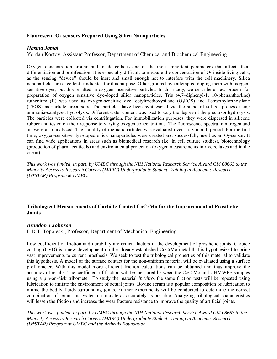# **Fluorescent O2-sensors Prepared Using Silica Nanoparticles**

## *Hasina Jamal*

Yordan Kostov, Assistant Professor, Department of Chemical and Biochemical Engineering

Oxygen concentration around and inside cells is one of the most important parameters that affects their differentiation and proliferation. It is especially difficult to measure the concentration of  $O_2$  inside living cells, as the sensing "device" should be inert and small enough not to interfere with the cell machinery. Silica nanoparticles are excellent candidates for this purpose. Other groups have attempted doping them with oxygensensitive dyes, but this resulted in oxygen insensitive particles. In this study, we describe a new process for preparation of oxygen sensitive dye-doped silica nanoparticles. Tris (4,7–diphenyl-1, 10-phenanthorline) ruthenium (II) was used as oxygen-sensitive dye, octyltriethoxysilane  $(O<sub>3</sub>EOS)$  and Tetraethylorthosilane (TEOS) as particle precursors. The particles have been synthesized via the standard sol-gel process using ammonia-catalyzed hydrolysis. Different water content was used to vary the degree of the precursor hydrolysis. The particles were collected via centrifugation. For immobilization purposes, they were dispersed in silicone rubber and tested on their response to varying oxygen concentrations. The fluorescence spectra in nitrogen and air were also analyzed. The stability of the nanoparticles was evaluated over a six-month period. For the first time, oxygen-sensitive dye-doped silica nanoparticles were created and successfully used as an O<sub>2</sub>-sensor. It can find wide applications in areas such as biomedical research (i.e. in cell culture studies), biotechnology (production of pharmaceuticals) and environmental protection (oxygen measurements in rivers, lakes and in the ocean).

*This work was funded, in part, by UMBC through the NIH National Research Service Award GM 08663 to the Minority Access to Research Careers (MARC) Undergraduate Student Training in Academic Research (U\*STAR) Program* at *UMBC.*

# **Tribological Measurements of Carbide-Coated CoCrMo for the Improvement of Prosthetic Joints**

#### *Brandon J Johnson*

L.D.T. Topoleski, Professor, Department of Mechanical Engineering

Low coefficient of friction and durability are critical factors in the development of prosthetic joints. Carbide coating (CVD) is a new development on the already established CoCrMo metal that is hypothesized to bring vast improvements to current prosthesis. We seek to test the tribological properties of this material to validate this hypothesis. A model of the surface contact for the non-uniform material will be evaluated using a surface profilometer. With this model more efficient friction calculations can be obtained and thus improve the accuracy of results. The coefficient of friction will be measured between the CoCrMo and UHMWPE samples using a pin-on-disk tribometer. To study the material *in vitro*, the same friction tests will be repeated using lubrication to imitate the environment of actual joints. Bovine serum is a popular composition of lubrication to mimic the bodily fluids surrounding joints. Further experiments will be conducted to determine the correct combination of serum and water to simulate as accurately as possible. Analyzing tribological characteristics will lessen the friction and increase the wear fracture resistance to improve the quality of artificial joints.

*This work was funded, in part, by UMBC through the NIH National Research Service Award GM 08663 to the Minority Access to Research Careers (MARC) Undergraduate Student Training in Academic Research (U\*STAR) Program* at *UMBC and the Arthritis Foundation.*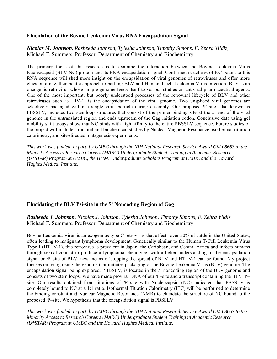# **Elucidation of the Bovine Leukemia Virus RNA Encapsidation Signal**

*Nicolas M. Johnson, Rasheeda Johnson, Tyiesha Johnson, Timothy Simons, F. Zehra Yildiz,* Michael F. Summers, Professor, Department of Chemistry and Biochemistry

The primary focus of this research is to examine the interaction between the Bovine Leukemia Virus Nucleocapsid (BLV NC) protein and its RNA encapsidation signal. Confirmed structures of NC bound to this RNA sequence will shed more insight on the encapsidation of viral genomes of retroviruses and offer more clues on a new therapeutic approach to battling BLV and Human T-cell Leukemia Virus infection. BLV is an oncogenic retrovirus whose simple genome lends itself to various studies on antiviral pharmaceutical agents. One of the most important, but poorly understood processes of the retroviral lifecycle of BLV and other retroviruses such as HIV-1, is the encapsidation of the viral genome. Two unspliced viral genomes are selectively packaged within a single virus particle during assembly. Our proposed Ψ site, also known as PBSSLV, includes two stemloop structures that consist of the primer binding site at the 5' end of the viral genome in the untranslated region and ends upstream of the Gag initiation codon. Conclusive data using gel mobility shift assays show that NC binds with high affinity to the entire PBSSLV sequence. Future studies of the project will include structural and biochemical studies by Nuclear Magnetic Resonance, isothermal titration calorimetry, and site-directed mutagenesis experiments.

*This work was funded, in part, by UMBC through the NIH National Research Service Award GM 08663 to the Minority Access to Research Careers (MARC) Undergraduate Student Training in Academic Research (U\*STAR) Program* at *UMBC, the HHMI Undergraduate Scholars Program at UMBC and the Howard Hughes Medical Institute.*

# **Elucidating the BLV Psi-site in the 5' Noncoding Region of Gag**

*Rasheeda J. Johnson, Nicolas J. Johnson, Tyiesha Johnson, Timothy Simons, F. Zehra Yildiz*  Michael F. Summers, Professor, Department of Chemistry and Biochemistry

Bovine Leukemia Virus is an exogenous type C retrovirus that affects over 50% of cattle in the United States, often leading to malignant lymphoma development. Genetically similar to the Human T-Cell Leukemia Virus Type I (HTLV-1), this retrovirus is prevalent in Japan, the Caribbean, and Central Africa and infects humans through sexual contact to produce a lymphoma phenotype; with a better understanding of the encapsidation signal or Ψ–site of BLV, new means of stopping the spread of BLV and HTLV-1 can be found. My project focuses on recognizing the genome that initiates packaging of the Bovine Leukemia Virus (BLV) genome. The encapsidation signal being explored, PBBSLV, is located in the 5' noncoding region of the BLV genome and consists of two stem loops. We have made proviral DNA of our Ψ–site and a transcript containing the BLV Ψ– site. Our results obtained from titrations of Ψ–site with Nucleocapsid (NC) indicated that PBSSLV is completely bound to NC at a 1:1 ratio. Isothermal Titration Calorimetry (ITC) will be performed to determine the binding constant and Nuclear Magnetic Resonance (NMR) to elucidate the structure of NC bound to the proposed Ψ–site. We hypothesis that the encapsidation signal is PBSSLV.

*This work was funded, in part, by UMBC through the NIH National Research Service Award GM 08663 to the Minority Access to Research Careers (MARC) Undergraduate Student Training in Academic Research (U\*STAR) Program* at *UMBC and the Howard Hughes Medical Institute.*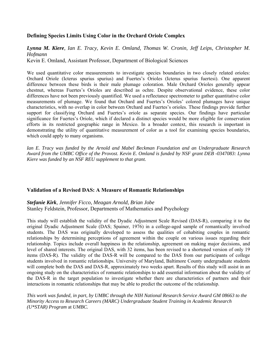# **Defining Species Limits Using Color in the Orchard Oriole Complex**

# *Lynna M. Kiere, Ian E. Tracy, Kevin E. Omland, Thomas W. Cronin, Jeff Leips, Christopher M. Hofmann*

Kevin E. Omland, Assistant Professor, Department of Biological Sciences

We used quantitative color measurements to investigate species boundaries in two closely related orioles: Orchard Oriole (Icterus spurius spurius) and Fuertes's Orioles (Icterus spurius fuertesi). One apparent difference between these birds is their male plumage coloration. Male Orchard Orioles generally appear chestnut, whereas Fuertes's Orioles are described as ochre. Despite observational evidence, these color differences have not been previously quantified. We used a reflectance spectrometer to gather quantitative color measurements of plumage. We found that Orchard and Fuertes's Orioles' colored plumages have unique characteristics, with no overlap in color between Orchard and Fuertes's orioles. These findings provide further support for classifying Orchard and Fuertes's oriole as separate species. Our findings have particular significance for Fuertes's Oriole, which if declared a distinct species would be more eligible for conservation efforts in its restricted geographic range in Mexico. In a broader context, this research is important in demonstrating the utility of quantitative measurement of color as a tool for examining species boundaries, which could apply to many organisms.

*Ian E. Tracy was funded by the Arnold and Mabel Beckman Foundation and an Undergraduate Research Award from the UMBC Office of the Provost. Kevin E. Omland is funded by NSF grant DEB -0347083: Lynna Kiere was funded by an NSF REU supplement to that grant.* 

#### **Validation of a Revised DAS: A Measure of Romantic Relationships**

*Stefanie Kirk, Jennifer Ficco, Meagan Arnold, Brian Jobe*  Stanley Feldstein, Professor, Departments of Mathematics and Psychology

This study will establish the validity of the Dyadic Adjustment Scale Revised (DAS-R), comparing it to the original Dyadic Adjustment Scale (DAS; Spainer, 1976) in a college-aged sample of romantically involved students. The DAS was originally developed to assess the qualities of cohabiting couples in romantic relationships by determining perceptions of agreement within the couple on various issues regarding their relationship. Topics include overall happiness in the relationship, agreement on making major decisions, and level of shared interests. The original DAS, with 32 items, has been revised to a shortened version of only 19 items (DAS-R). The validity of the DAS-R will be compared to the DAS from our participants of college students involved in romantic relationships. University of Maryland, Baltimore County undergraduate students will complete both the DAS and DAS-R, approximately two weeks apart. Results of this study will assist in an ongoing study on the characteristics of romantic relationships to add essential information about the validity of the DAS-R in the target population to investigate whether there are characteristics of partners and their interactions in romantic relationships that may be able to predict the outcome of the relationship.

*This work was funded, in part, by UMBC through the NIH National Research Service Award GM 08663 to the Minority Access to Research Careers (MARC) Undergraduate Student Training in Academic Research (U\*STAR) Program* at *UMBC.*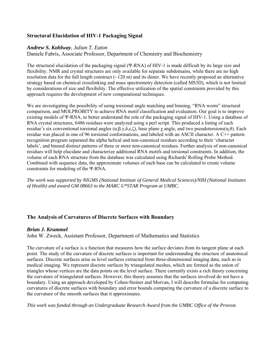# **Structural Elucidation of HIV-1 Packaging Signal**

# *Andrew S. Kohlway, Julian T. Eaton*

Daniele Fabris, Associate Professor, Department of Chemistry and Biochemistry

The structural elucidation of the packaging signal (Ψ-RNA) of HIV-1 is made difficult by its large size and flexibility. NMR and crystal structures are only available for separate subdomains, while there are no high resolution data for the full length construct  $(\sim 120 \text{ nt})$  and its dimer. We have recently proposed an alternative strategy based on chemical crosslinking and mass spectrometry detection (called MS3D), which is not limited by considerations of size and flexibility. The effective utilization of the spatial constraints provided by this approach requires the development of new computational techniques.

We are investigating the possibility of using torsional angle matching and binning, "RNA worm" structural comparison, and MOLPROBITY to achieve RNA motif classification and evaluation. Our goal is to improve existing models of Ψ-RNA, to better understand the role of the packaging signal of HIV-1. Using a database of RNA crystal structures, 6486 residues were analyzed using a perl script. This produced a listing of each residue's six conventional torsional angles (α,β,γ,δ,ε,ζ), base plane  $\chi$  angle, and two pseudotorsions(η,θ). Each residue was placed in one of 96 torsional conformations, and labeled with an ASCII character. A C++ pattern recognition program separated the alpha helical and non-canonical residues according to their 'character labels', and binned distinct patterns of three or more non-canonical residues. Further analysis of non-canonical residues will help elucidate and characterize additional RNA motifs and torsional constraints. In addition, the volume of each RNA structure from the database was calculated using Richards' Rolling Probe Method. Combined with sequence data, the approximate volumes of each base can be calculated to create volume constraints for modeling of the Ψ-RNA.

*The work was supported by NIGMS (National Institute of General Medical Sciences)/NIH (National Institutes of Health) and award GM 08663 to the MARC U\*STAR Program at UMBC.*

# **The Analysis of Curvatures of Discrete Surfaces with Boundary**

# *Brian J. Krummel*

John W. Zweck, Assistant Professor, Department of Mathematics and Statistics

The curvature of a surface is a function that measures how the surface deviates from its tangent plane at each point. The study of the curvature of discrete surfaces is important for understanding the structure of anatomical surfaces. Discrete surfaces arise as level surfaces extracted from three-dimensional imaging data, such as in medical imaging. We represent discrete surfaces by triangulated meshes, which are formed as the union of triangles whose vertices are the data points on the level surface. There currently exists a rich theory concerning the curvature of triangulated surfaces. However, this theory assumes that the surfaces involved do not have a boundary. Using an approach developed by Cohen-Steiner and Morvan, I will describe formulae for computing curvatures of discrete surfaces with boundary and error bounds comparing the curvature of a discrete surface to the curvature of the smooth surfaces that it approximates.

*This work was funded through an Undergraduate Research Award from the UMBC Office of the Provost.*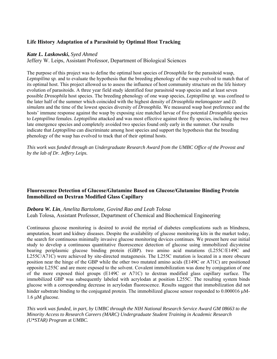# **Life History Adaptation of a Parasitoid by Optimal Host Tracking**

#### *Kate L. Laskowski***,** *Syed Ahmed*

Jeffery W. Leips, Assistant Professor, Department of Biological Sciences

The purpose of this project was to define the optimal host species of *Drosophila* for the parasitoid wasp, *Leptopilina sp.* and to evaluate the hypothesis that the breeding phenology of the wasp evolved to match that of its optimal host. This project allowed us to assess the influence of host community structure on the life history evolution of parasitoids. A three year field study identified four parasitoid wasp species and at least seven possible *Drosophila* host species. The breeding phenology of one wasp species, *Leptopilina sp.* was confined to the later half of the summer which coincided with the highest density of *Drosophila melanogaster* and *D. simulans* and the time of the lowest species diversity of *Drosophila*. We measured wasp host preference and the hosts' immune response against the wasp by exposing size matched larvae of five potential *Drosophila* species to *Leptopilina* females. *Leptopilina* attacked and was most effective against three fly species, including the two late emergence species and completely avoided two species found only early in the summer. Our results indicate that *Leptopilina* can discriminate among host species and support the hypothesis that the breeding phenology of the wasp has evolved to track that of their optimal hosts.

*This work was funded through an Undergraduate Research Award from the UMBC Office of the Provost and by the lab of Dr. Jeffery Leips.* 

# **Fluorescence Detection of Glucose/Glutamine Based on Glucose/Glutamine Binding Protein Immobilized on Dextran Modified Glass Capillary**

### *Debora W. Lin, Amelita Bartolome, Govind Rao and Leah Tolosa*  Leah Tolosa, Assistant Professor, Department of Chemical and Biochemical Engineering

Continuous glucose monitoring is desired to avoid the myriad of diabetes complications such as blindness, amputation, heart and kidney diseases. Despite the availability of glucose monitoring kits in the market today, the search for continuous minimally invasive glucose monitoring devices continues. We present here our initial study to develop a continuous quantitative fluorescence detection of glucose using immobilized dicysteine bearing periplasmic glucose binding protein (GBP). two amino acid mutations (L255C/E149C and L255C/A71C) were achieved by site-directed mutagenesis. The L255C mutation is located in a more obscure position near the hinge of the GBP while the other two mutated amino acids (E149C or A71C) are positioned opposite L255C and are more exposed to the solvent. Covalent immobilization was done by conjugation of one of the more exposed thiol groups (E149C or A71C) to dextran modified glass capillary surface. The immobilized GBP was subsequently labeled with acrylodan at position L255C. The resulting system binds glucose with a corresponding decrease in acrylodan fluorescence. Results suggest that immobilization did not hinder substrate binding to the conjugated protein. The immobilized glucose sensor responded to  $0.000016 \mu M$ -1.6 µM glucose.

*This work was funded, in part, by UMBC through the NIH National Research Service Award GM 08663 to the Minority Access to Research Careers (MARC) Undergraduate Student Training in Academic Research (U\*STAR) Program* at *UMBC.*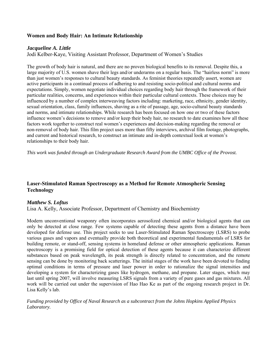# **Women and Body Hair: An Intimate Relationship**

#### *Jacqueline A. Little*

Jodi Kelber-Kaye, Visiting Assistant Professor, Department of Women's Studies

The growth of body hair is natural, and there are no proven biological benefits to its removal. Despite this, a large majority of U.S. women shave their legs and/or underarms on a regular basis. The "hairless norm" is more than just women's responses to cultural beauty standards. As feminist theories repeatedly assert, women are active participants in a continual process of adhering to and resisting socio-political and cultural norms and expectations. Simply, women negotiate individual choices regarding body hair through the framework of their particular realities, concerns, and experiences within their particular cultural contexts. These choices may be influenced by a number of complex interweaving factors including: marketing, race, ethnicity, gender identity, sexual orientation, class, family influences, shaving as a rite of passage, age, socio-cultural beauty standards and norms, and intimate relationships. While research has been focused on how one or two of these factors influence women's decisions to remove and/or keep their body hair, no research to date examines how all these factors work together to construct real women's experiences and decision-making regarding the removal or non-removal of body hair. This film project uses more than fifty interviews, archival film footage, photographs, and current and historical research, to construct an intimate and in-depth contextual look at women's relationships to their body hair.

*This work was funded through an Undergraduate Research Award from the UMBC Office of the Provost.* 

# **Laser-Stimulated Raman Spectroscopy as a Method for Remote Atmospheric Sensing Technology**

#### *Matthew S. Loftus*

Lisa A. Kelly, Associate Professor, Department of Chemistry and Biochemistry

Modern unconventional weaponry often incorporates aerosolized chemical and/or biological agents that can only be detected at close range. Few systems capable of detecting these agents from a distance have been developed for defense use. This project seeks to use Laser-Stimulated Raman Spectroscopy (LSRS) to probe various gases and vapors and eventually provide both theoretical and experimental fundamentals of LSRS for building remote, or stand-off, sensing systems in homeland defense or other atmospheric applications. Raman spectroscopy is a promising field for optical detection of these agents because it can characterize different substances based on peak wavelength, its peak strength is directly related to concentration, and the remote sensing can be done by monitoring back scatterings. The initial stages of the work have been devoted to finding optimal conditions in terms of pressure and laser power in order to rationalize the signal intensities and developing a system for characterizing gases like hydrogen, methane, and propane. Later stages, which may last until spring 2007, will involve measuring LSRS signals from a variety of pure gases and gas mixtures. All work will be carried out under the supervision of Hao Hao Ke as part of the ongoing research project in Dr. Lisa Kelly's lab.

#### *Funding provided by Office of Naval Research as a subcontract from the Johns Hopkins Applied Physics Laboratory.*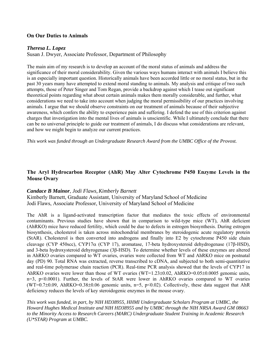# **On Our Duties to Animals**

## *Theresa L. Lopez*

Susan J. Dwyer, Associate Professor, Department of Philosophy

The main aim of my research is to develop an account of the moral status of animals and address the significance of their moral considerability. Given the various ways humans interact with animals I believe this is an especially important question. Historically animals have been accorded little or no moral status, but in the past 30 years many have attempted to extend moral standing to animals. My analysis and critique of two such attempts, those of Peter Singer and Tom Regan, provide a backdrop against which I tease out significant theoretical points regarding what about certain animals makes them morally considerable, and further, what considerations we need to take into account when judging the moral permissibility of our practices involving animals. I argue that we should observe constraints on our treatment of animals because of their subjective awareness, which confers the ability to experience pain and suffering. I defend the use of this criterion against charges that investigation into the mental lives of animals is unscientific. While I ultimately conclude that there can be no universal principle to guide our treatment of animals, I do discuss what considerations are relevant, and how we might begin to analyze our current practices.

*This work was funded through an Undergraduate Research Award from the UMBC Office of the Provost.* 

# **The Aryl Hydrocarbon Receptor (AhR) May Alter Cytochrome P450 Enzyme Levels in the Mouse Ovary**

#### **Candace B Mainor**, *Jodi Flaws, Kimberly Barnett*

Kimberly Barnett, Graduate Assistant, University of Maryland School of Medicine Jodi Flaws, Associate Professor, University of Maryland School of Medicine

The AhR is a ligand-activated transcription factor that mediates the toxic effects of environmental contaminants. Previous studies have shown that in comparison to wild-type mice (WT), AhR deficient (AhRKO) mice have reduced fertility, which could be due to defects in estrogen biosynthesis. During estrogen biosynthesis, cholesterol is taken across mitochondrial membranes by steroidogenic acute regulatory protein (StAR). Cholesterol is then converted into androgens and finally into E2 by cytochrome P450 side chain cleavage (CYP 450scc), CYP17α (CYP 17), aromatase, 17-beta hydroxysteroid dehydrogenase (17β-HSD), and 3-beta hydroxysteroid dehyrogenase (3β-HSD). To determine whether levels of these enzymes are altered in AhRKO ovaries compared to WT ovaries, ovaries were collected from WT and AhRKO mice on postnatal day (PD) 90. Total RNA was extracted, reverse transcribed to cDNA, and subjected to both semi-quantitative and real-time polymerase chain reaction (PCR). Real-time PCR analysis showed that the levels of CYP17 in AhRKO ovaries were lower than those of WT ovaries (WT=1.23±0.02, AhRKO=0.05±0.0005 genomic units, n=3, p<0.0001). Further, the levels of StAR were lower in AhRKO ovaries compared to WT ovaries  $(WT=0.7\pm0.09$ , AhRKO=0.38 $\pm0.06$  genomic units, n=5, p<0.02). Collectively, these data suggest that AhR deficiency reduces the levels of key steroidogenic enzymes in the mouse ovary.

*This work was funded, in part, by NIH HD38955, HHMI Undergraduate Scholars Program at UMBC, the Howard Hughes Medical Institute and NIH HD38955 and by UMBC through the NIH NRSA Award GM 08663 to the Minority Access to Research Careers (MARC) Undergraduate Student Training in Academic Research (U\*STAR) Program* at *UMBC.*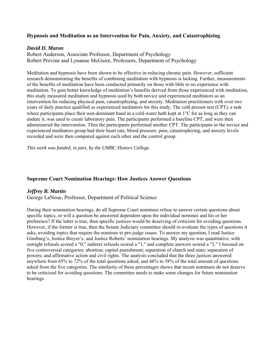# **Hypnosis and Meditation as an Intervention for Pain, Anxiety, and Catastrophizing**

# *David D. Maron*

Robert Anderson, Associate Professor, Department of Psychology Robert Provine and Lynanne McGuire, Professors, Department of Psychology

Meditation and hypnosis have been shown to be effective in reducing chronic pain. However, sufficient research demonstrating the benefits of combining meditation with hypnosis is lacking. Further, measurements of the benefits of meditation have been conducted primarily on those with little to no experience with meditation. To gain better knowledge of meditation's benefits derived from those experienced with meditation, this study measured meditation and hypnosis used by both novice and experienced meditators as an intervention for reducing physical pain, catastrophizing, and anxiety. Meditation practitioners with over two years of daily practice qualified as experienced meditators for this study. The cold pressor test (CPT), a task where participants place their non-dominant hand in a cold-water bath kept at  $1^{\circ}$ C for as long as they can endure it, was used to create laboratory pain. The participants performed a baseline CPT, and were then administered the intervention. Then the participants performed another CPT. The participants in the novice and experienced meditators group had their heart rate, blood pressure, pain, catastrophizing, and anxiety levels recorded and were then compared against each other and the control group.

*This work was funded, in part, by the UMBC Honors College.* 

# **Supreme Court Nomination Hearings: How Justices Answer Questions**

# *Jeffrey B. Martin*

George LaNoue, Professor, Department of Political Science

During their nomination hearings, do all Supreme Court nominees refuse to answer certain questions about specific topics, or will a question be answered dependent upon the individual nominee and his or her preference? If the latter is true, then specific justices would be deserving of criticism for avoiding questions. However, if the former is true, then the Senate Judiciary committee should re-evaluate the types of questions it asks, avoiding topics that require the nominee to pre-judge issues. To answer my question, I read Justice Ginsburg's, Justice Breyer's, and Justice Roberts' nomination hearings. My analysis was quantitative, with outright refusals scored a "0," indirect refusals scored a "1," and complete answers scored a "2." I focused on five controversial categories: abortion; capital punishment; separation of church and state; separation of powers; and affirmative action and civil rights. The analysis concluded that the three justices answered anywhere from 65% to 72% of the total questions asked, and 46% to 58% of the total amount of questions asked from the five categories. The similarity of these percentages shows that recent nominees do not deserve to be criticized for avoiding questions. The committee needs to make some changes for future nomination hearings.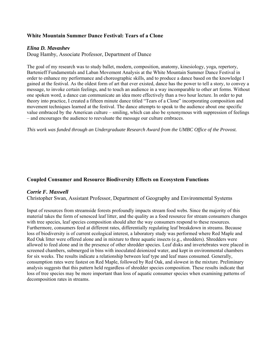# **White Mountain Summer Dance Festival: Tears of a Clone**

#### *Elina D. Mavashev*

Doug Hamby, Associate Professor, Department of Dance

The goal of my research was to study ballet, modern, composition, anatomy, kinesiology, yoga, repertory, Bartenieff Fundamentals and Laban Movement Analysis at the White Mountain Summer Dance Festival in order to enhance my performance and choreographic skills, and to produce a dance based on the knowledge I gained at the festival. As the oldest form of art that ever existed, dance has the power to tell a story, to convey a message, to invoke certain feelings, and to touch an audience in a way incomparable to other art forms. Without one spoken word, a dance can communicate an idea more effectively than a two hour lecture. In order to put theory into practice, I created a fifteen minute dance titled "Tears of a Clone" incorporating composition and movement techniques learned at the festival. The dance attempts to speak to the audience about one specific value embraced by the American culture – smiling, which can also be synonymous with suppression of feelings – and encourages the audience to reevaluate the message our culture embraces.

*This work was funded through an Undergraduate Research Award from the UMBC Office of the Provost.* 

# **Coupled Consumer and Resource Biodiversity Effects on Ecosystem Functions**

# *Corrie F. Maxwell*

Christopher Swan, Assistant Professor, Department of Geography and Environmental Systems

Input of resources from streamside forests profoundly impacts stream food webs. Since the majority of this material takes the form of senesced leaf litter, and the quality as a food resource for stream consumers changes with tree species, leaf species composition should alter the way consumers respond to these resources. Furthermore, consumers feed at different rates, differentially regulating leaf breakdown in streams. Because loss of biodiversity is of current ecological interest, a laboratory study was performed where Red Maple and Red Oak litter were offered alone and in mixture to three aquatic insects (e.g., shredders). Shredders were allowed to feed alone and in the presence of other shredder species. Leaf disks and invertebrates were placed in screened chambers, submerged in bins with inoculated deionized water, and kept in environmental chambers for six weeks. The results indicate a relationship between leaf type and leaf mass consumed. Generally, consumption rates were fastest on Red Maple, followed by Red Oak, and slowest in the mixture. Preliminary analysis suggests that this pattern held regardless of shredder species composition. These results indicate that loss of tree species may be more important than loss of aquatic consumer species when examining patterns of decomposition rates in streams.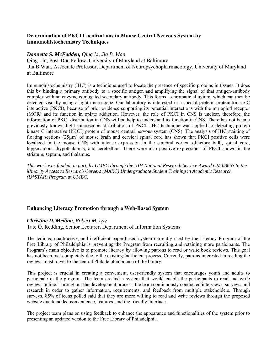# **Determination of PKCI Localizations in Mouse Central Nervous System by Immunohistochemistry Techniques**

### *Donnetta S. McFadden, Qing Li, Jia B. Wan*

Qing Liu, Post-Doc Fellow, University of Maryland at Baltimore Jia B.Wan, Associate Professor, Department of Neuropsychopharmacology, University of Maryland at Baltimore

Immunohistochemistry (IHC) is a technique used to locate the presence of specific proteins in tissues. It does this by binding a primary antibody to a specific antigen and amplifying the signal of that antigen-antibody complex with an enzyme conjugated secondary antibody. This forms a chromatic alluvium, which can then be detected visually using a light microscope. Our laboratory is interested in a special protein, protein kinase C interactive (PKCI), because of prior evidence supporting its potential interactions with the mu opiod receptor (MOR) and its function in opiate addiction. However, the role of PKCI in CNS is unclear, therefore, the information of PKCI distribution in CNS will be help to understand its function in CNS. There has not been a previously known light microscopic distribution of PKCI. IHC technique was applied to detecting protein kinase C interactive (PKCI) protein of mouse central nervous system (CNS). The analysis of IHC staining of floating sections (25µm) of mouse brain and cervical spinal cord has shown that PKCI positive cells were localized in the mouse CNS with intense expression in the cerebral cortex, olfactory bulb, spinal cord, hippocampus, hypothalamus, and cerebellum. There were also positive expressions of PKCI shown in the striatum, septum, and thalamus.

*This work was funded, in part, by UMBC through the NIH National Research Service Award GM 08663 to the Minority Access to Research Careers (MARC) Undergraduate Student Training in Academic Research (U\*STAR) Program* at *UMBC.*

# **Enhancing Literacy Promotion through a Web-Based System**

# *Christine D. Medina, Robert M. Lyv*

Tate O. Redding, Senior Lecturer, Department of Information Systems

The tedious, unattractive, and inefficient paper-based system currently used by the Literacy Program of the Free Library of Philadelphia is preventing the Program from recruiting and retaining more participants. The Program's main objective is to promote literacy by allowing patrons to read or write book reviews. This goal has not been met completely due to the existing inefficient process. Currently, patrons interested in reading the reviews must travel to the central Philadelphia branch of the library.

This project is crucial in creating a convenient, user-friendly system that encourages youth and adults to participate in the program. The team created a system that would enable the participants to read and write reviews online. Throughout the development process, the team continuously conducted interviews, surveys, and research in order to gather information, requirements, and feedback from multiple stakeholders. Through surveys, 85% of teens polled said that they are more willing to read and write reviews through the proposed website due to added convenience, features, and the friendly interface.

The project team plans on using feedback to enhance the appearance and functionalities of the system prior to presenting an updated version to the Free Library of Philadelphia.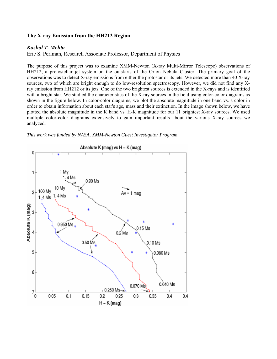# **The X-ray Emission from the HH212 Region**

#### *Kushal T. Mehta*

Eric S. Perlman, Research Associate Professor, Department of Physics

The purpose of this project was to examine XMM-Newton (X-ray Multi-Mirror Telescope) observations of HH212, a protostellar jet system on the outskirts of the Orion Nebula Cluster. The primary goal of the observations was to detect X-ray emissions from either the protostar or its jets. We detected more than 40 X-ray sources, two of which are bright enough to do low-resolution spectroscopy. However, we did not find any Xray emission from HH212 or its jets. One of the two brightest sources is extended in the X-rays and is identified with a bright star. We studied the characteristics of the X-ray sources in the field using color-color diagrams as shown in the figure below. In color-color diagrams, we plot the absolute magnitude in one band vs. a color in order to obtain information about each star's age, mass and their extinction. In the image shown below, we have plotted the absolute magnitude in the K band vs. H-K magnitude for our 11 brightest X-ray sources. We used multiple color-color diagrams extensively to gain important results about the various X-ray sources we analyzed.

*This work was funded by NASA, XMM-Newton Guest Investigator Program.*

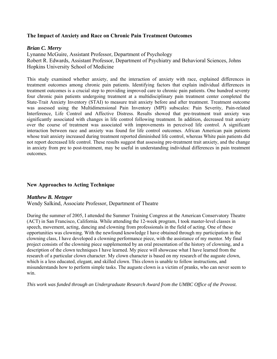# **The Impact of Anxiety and Race on Chronic Pain Treatment Outcomes**

#### *Brian C. Merry*

Lynanne McGuire, Assistant Professor, Department of Psychology Robert R. Edwards, Assistant Professor, Department of Psychiatry and Behavioral Sciences, Johns Hopkins University School of Medicine

This study examined whether anxiety, and the interaction of anxiety with race, explained differences in treatment outcomes among chronic pain patients. Identifying factors that explain individual differences in treatment outcomes is a crucial step to providing improved care to chronic pain patients. One hundred seventy four chronic pain patients undergoing treatment at a multidisciplinary pain treatment center completed the State-Trait Anxiety Inventory (STAI) to measure trait anxiety before and after treatment. Treatment outcome was assessed using the Multidimensional Pain Inventory (MPI) subscales: Pain Severity, Pain-related Interference, Life Control and Affective Distress. Results showed that pre-treatment trait anxiety was significantly associated with changes in life control following treatment. In addition, decreased trait anxiety over the course of treatment was associated with improvements in perceived life control. A significant interaction between race and anxiety was found for life control outcomes. African American pain patients whose trait anxiety increased during treatment reported diminished life control, whereas White pain patients did not report decreased life control. These results suggest that assessing pre-treatment trait anxiety, and the change in anxiety from pre to post-treatment, may be useful in understanding individual differences in pain treatment outcomes.

# **New Approaches to Acting Technique**

#### *Matthew B. Metzger*

Wendy Salkind, Associate Professor, Department of Theatre

During the summer of 2005, I attended the Summer Training Congress at the American Conservatory Theatre (ACT) in San Francisco, California. While attending the 12-week program, I took master-level classes in speech, movement, acting, dancing and clowning from professionals in the field of acting. One of these opportunities was clowning. With the newfound knowledge I have obtained through my participation in the clowning class, I have developed a clowning performance piece, with the assistance of my mentor. My final project consists of the clowning piece supplemented by an oral presentation of the history of clowning, and a description of the clown techniques I have learned. My piece will showcase what I have learned from the research of a particular clown character. My clown character is based on my research of the auguste clown, which is a less educated, elegant, and skilled clown. This clown is unable to follow instructions, and misunderstands how to perform simple tasks. The auguste clown is a victim of pranks, who can never seem to win.

*This work was funded through an Undergraduate Research Award from the UMBC Office of the Provost.*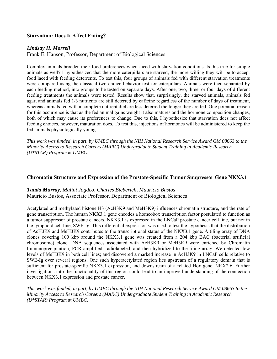# **Starvation: Does It Affect Eating?**

### *Lindsay H. Morrell*

Frank E. Hanson, Professor, Department of Biological Sciences

Complex animals broaden their food preferences when faced with starvation conditions. Is this true for simple animals as well? I hypothesized that the more caterpillars are starved, the more willing they will be to accept food laced with feeding deterrents. To test this, four groups of animals fed with different starvation treatments were compared using the classical two choice behavior test for caterpillars. Animals were then separated by each feeding method, into groups to be tested on separate days. After one, two, three, or four days of different feeding treatments the animals were tested. Results show that, surprisingly, the starved animals, animals fed agar, and animals fed 1/3 nutrients are still deterred by caffeine regardless of the number of days of treatment, whereas animals fed with a complete nutrient diet are less deterred the longer they are fed. One potential reason for this occurrence is that as the fed animal gains weight it also matures and the hormone composition changes, both of which may cause its preferences to change. Due to this, I hypothesize that starvation does not affect feeding choices, however, maturation does. To test this, injections of hormones will be administered to keep the fed animals physiologically young.

*This work was funded, in part, by UMBC through the NIH National Research Service Award GM 08663 to the Minority Access to Research Careers (MARC) Undergraduate Student Training in Academic Research (U\*STAR) Program* at *UMBC.*

### **Chromatin Structure and Expression of the Prostate-Specific Tumor Suppressor Gene NKX3.1**

*Tanda Murray, Malini Jagdeo, Charles Bieberich, Mauricio Bustos*  Mauricio Bustos, Associate Professor, Department of Biological Sciences

Acetylated and methylated histone H3 (AcH3K9 and MeH3K9) influences chromatin structure, and the rate of gene transcription. The human NKX3.1 gene encodes a homeobox transcription factor postulated to function as a tumor suppressor of prostate cancers. NKX3.1 is expressed in the LNCaP prostate cancer cell line, but not in the lymphoid cell line, SWE-Ig. This differential expression was used to test the hypothesis that the distribution of AcH3K9 and MeH3K9 contributes to the transcriptional status of the NKX3.1 gene. A tiling array of DNA clones covering 100 kbp around the NKX3.1 gene was created from a 204 kbp BAC (bacterial artificial chromosome) clone. DNA sequences associated with AcH3K9 or MeH3K9 were enriched by Chromatin Immunoprecipitation, PCR amplified, radiolabeled, and then hybridized to the tiling array. We detected low levels of MeH3K9 in both cell lines; and discovered a marked increase in AcH3K9 in LNCaP cells relative to SWE-Ig over several regions. One such hyperacetylated region lies upstream of a regulatory domain that is sufficient for prostate-specific NKX3.1 expression, and downstream of a related Hox gene, NKX2.6. Further investigations into the functionality of this region could lead to an improved understanding of the connection between NKX3.1 expression and prostate cancer.

*This work was funded, in part, by UMBC through the NIH National Research Service Award GM 08663 to the Minority Access to Research Careers (MARC) Undergraduate Student Training in Academic Research (U\*STAR) Program* at *UMBC.*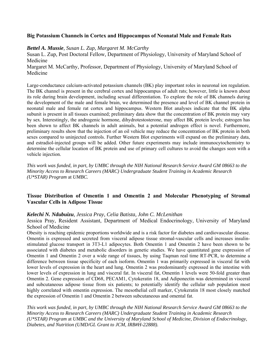# **Big Potassium Channels in Cortex and Hippocampus of Neonatal Male and Female Rats**

# *Bettel A. Mussie, Susan L. Zup, Margaret M. McCarthy*

Susan L. Zup*,* Post Doctoral Fellow*,* Department of Physiology, University of Maryland School of Medicine

Margaret M. McCarthy, Professor, Department of Physiology, University of Maryland School of Medicine

Large-conductance calcium-activated potassium channels (BK) play important roles in neuronal ion regulation. The BK channel is present in the cerebral cortex and hippocampus of adult rats; however, little is known about its role during brain development, including sexual differentiation. To explore the role of BK channels during the development of the male and female brain, we determined the presence and level of BK channel protein in neonatal male and female rat cortex and hippocampus. Western Blot analyses indicate that the BK alpha subunit is present in all tissues examined; preliminary data show that the concentration of BK protein may vary by sex. Interestingly, the androgenic hormone, dihydrotestosterone, may affect BK protein levels; estrogen has been shown to affect BK channels in adult animals, but a potential androgen effect is novel. Furthermore, preliminary results show that the injection of an oil vehicle may reduce the concentration of BK protein in both sexes compared to uninjected controls. Further Western Blot experiments will expand on the preliminary data, and estradiol-injected groups will be added. Other future experiments may include immunocytochemistry to determine the cellular location of BK protein and use of primary cell cultures to avoid the changes seen with a vehicle injection.

*This work was funded, in part, by UMBC through the NIH National Research Service Award GM 08663 to the Minority Access to Research Careers (MARC) Undergraduate Student Training in Academic Research (U\*STAR) Program* at *UMBC.*

# **Tissue Distribution of Omentin 1 and Omentin 2 and Molecular Phenotyping of Stromal Vascular Cells in Adipose Tissue**

#### *Kelechi N. Ndubuizu, Jessica Pray, Celia Batista, John C. McLenithan*

Jessica Pray, Resident Assistant, Department of Medical Endocrinology, University of Maryland School of Medicine

Obesity is reaching epidemic proportions worldwide and is a risk factor for diabetes and cardiovascular disease. Omentin is expressed and secreted from visceral adipose tissue stromal-vascular cells and increases insulinstimulated glucose transport in 3T3-L1 adipocytes. Both Omentin 1 and Omentin 2 have been shown to be associated with diabetes and metabolic disorders in genetic studies. We have quantitated gene expression of Omentin 1 and Omentin 2 over a wide range of tissues, by using Taqman real time RT-PCR, to determine a difference between tissue specificity of each isoform. Omentin 1 was primarily expressed in visceral fat with lower levels of expression in the heart and lung. Omentin 2 was predominantly expressed in the intestine with lower levels of expression in lung and visceral fat. In visceral fat, Omentin 1 levels were 50-fold greater than Omentin 2. Gene expression of CD68, PECAM1, Cytokeratin 18, and Adiponectin was determined in visceral and subcutaneous adipose tissue from six patients; to potentially identify the cellular sub population most highly correlated with omentin expression. The mesothelial cell marker, Cytokeratin 18 most closely matched the expression of Omentin 1 and Omentin 2 between subcutaneous and omental fat.

*This work was funded, in part, by UMBC through the NIH National Research Service Award GM 08663 to the Minority Access to Research Careers (MARC) Undergraduate Student Training in Academic Research (U\*STAR) Program* at *UMBC and the University of Maryland School of Medicine, Division of Endocrinology, Diabetes, and Nutrition (UMD/GL Grant to JCM, IRB#H-22888).*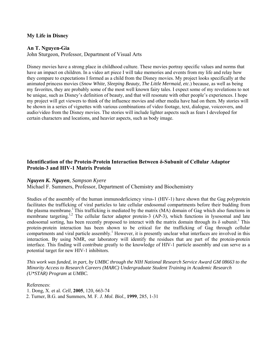# **My Life in Disney**

### **An T. Nguyen-Gia**

John Sturgeon, Professor, Department of Visual Arts

Disney movies have a strong place in childhood culture. These movies portray specific values and norms that have an impact on children. In a video art piece I will take memories and events from my life and relay how they compare to expectations I formed as a child from the Disney movies. My project looks specifically at the animated princess movies (*Snow White, Sleeping Beauty, The Little Mermaid, etc.*) because, as well as being my favorites, they are probably some of the most well known fairy tales. I expect some of my revelations to not be unique, such as Disney's definition of beauty, and that will resonate with other people's experiences. I hope my project will get viewers to think of the influence movies and other media have had on them. My stories will be shown in a series of vignettes with various combinations of video footage, text, dialogue, voiceovers, and audio/video from the Disney movies. The stories will include lighter aspects such as fears I developed for certain characters and locations, and heavier aspects, such as body image.

# **Identification of the Protein-Protein Interaction Between δ-Subunit of Cellular Adaptor Protein-3 and HIV-1 Matrix Protein**

#### *Nguyen K. Nguyen*, *Sampson Kyere*

Michael F. Summers, Professor, Department of Chemistry and Biochemistry

Studies of the assembly of the human immunodeficiency virus-1 (HIV-1) have shown that the Gag polyprotein facilitates the trafficking of viral particles to late cellular endosomal compartments before their budding from the plasma membrane.<sup>1</sup> This trafficking is mediated by the matrix (MA) domain of Gag which also functions in membrane targeting.<sup>1,2</sup> The cellular factor adaptor protein-3 (AP-3), which functions in lysosomal and late endosomal sorting, has been recently proposed to interact with the matrix domain through its  $\delta$  subunit.<sup>1</sup> This protein-protein interaction has been shown to be critical for the trafficking of Gag through cellular compartments and viral particle assembly.<sup>1</sup> However, it is presently unclear what interfaces are involved in this interaction. By using NMR, our laboratory will identify the residues that are part of the protein-protein interface. This finding will contribute greatly to the knowledge of HIV-1 particle assembly and can serve as a potential target for new HIV-1 inhibitors.

*This work was funded, in part, by UMBC through the NIH National Research Service Award GM 08663 to the Minority Access to Research Careers (MARC) Undergraduate Student Training in Academic Research (U\*STAR) Program* at *UMBC.*

References:

1. Dong, X. et al. *Cell*, **2005**, 120, 663-74

2. Turner, B.G. and Summers, M. F. *J. Mol. Biol.,* **1999**, 285, 1-31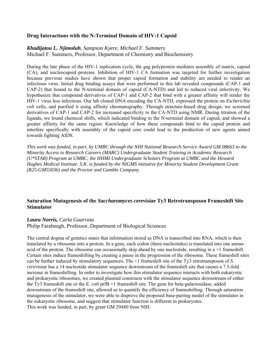## **Drug Interactions with the N-Terminal Domain of HIV-1 Capsid**

# *Khadijatou L. Njimoluh, Sampson Kyere, Michael F. Summers*

Michael F. Summers, Professor, Department of Chemistry and Biochemistry

During the late phase of the HIV-1 replication cycle, the gag polyprotein mediates assembly of matrix, capsid (CA), and nucleocapsid proteins. Inhibition of HIV-1 CA formation was targeted for further investigation because previous studies have shown that proper capsid formation and stability are needed to render an infectious virus. Initial drug binding assays that were performed in this lab revealed compounds (CAP-1 and CAP-2) that bound to the N-terminal domain of capsid (CA-NTD) and led to reduced viral infectivity. We hypothesize that compound derivatives of CAP-1 and CAP-2 that bind with a greater affinity will render the HIV-1 virus less infectious. Our lab cloned DNA encoding the CA-NTD, expressed the protein on *Escherichia coli* cells, and purified it using affinity chromatography. Through structure-based drug design, we screened derivatives of CAP-1 and CAP-2 for increased specificity to the CA-NTD using NMR. During titration of the ligands, we found chemical shifts, which indicated binding to the N-terminal domain of capsid, and showed a greater affinity for the same region. Knowledge of how these compounds bind to the capsid protein and interfere specifically with assembly of the capsid core could lead to the production of new agents aimed towards fighting AIDS.

*This work was funded, in part, by UMBC through the NIH National Research Service Award GM 08663 to the Minority Access to Research Careers (MARC) Undergraduate Student Training in Academic Research (U\*STAR) Program at UMBC, the HHMI Undergraduate Scholars Program at UMBC and the Howard Hughes Medical Institute. S.K. is funded by the NIGMS initiative for Minority Student Development Grant (R25-GM55036) and the Proctor and Gamble Company.*

# **Saturation Mutagenesis of the** *Saccharomyces cerevisiae* **Ty3 Retrotransposon Frameshift Site Stimulator**

#### *Laura Norris, Carla Guarraia*

Philip Farabaugh, Professor, Department of Biological Sciences

The central dogma of genetics states that information stored as DNA is transcribed into RNA, which is then translated by a ribosome into a protein. In a gene, each codon (three nucleotides) is translated into one amino acid of the protein. The ribosome can occasionally skip ahead by one nucleotide, resulting in a +1 frameshift. Certain sites induce frameshifting by creating a pause in the progression of the ribosome. These frameshift sites can be further induced by stimulatory sequences. The +1 frameshift site of the Ty3 retrotransposon of *S. cerevisiae* has a 14 nucleotide stimulator sequence downstream of the frameshift site that causes a 7.5-fold increase in frameshifting. In order to investigate how this stimulator sequence interacts with both eukaryotic and prokaryotic ribosomes, we created plasmid constructs with the stimulator sequence downstream of either the Ty3 frameshift site or the *E. coli* prfB +1 frameshift site. The gene for beta-galactosidase, added downstream of the frameshift site, allowed us to quantify the efficiency of frameshifting. Through saturation mutagenesis of the stimulator, we were able to disprove the proposed base-pairing model of the stimulator in the eukaryotic ribosome, and suggest that stimulator function is different in prokaryotes. This work was funded, in part, by grant GM 29480 from NIH.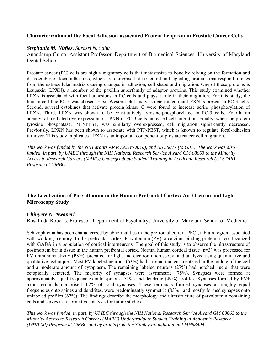## **Characterization of the Focal Adhesion-associated Protein Leupaxin in Prostate Cancer Cells**

#### *Stephanie M. Núñez, Surasri N. Sahu*

Anandarup Gupta, Assistant Professor, Department of Biomedical Sciences, University of Maryland Dental School

Prostate cancer (PC) cells are highly migratory cells that metastasize to bone by relying on the formation and disassembly of focal adhesions, which are comprised of structural and signaling proteins that respond to cues from the extracellular matrix causing changes in adhesion, cell shape and migration. One of these proteins is Leupaxin (LPXN), a member of the paxillin superfamily of adaptor proteins. This study examined whether LPXN is associated with focal adhesions in PC cells and plays a role in their migration. For this study, the human cell line PC-3 was chosen. First, Western blot analysis determined that LPXN is present in PC-3 cells. Second, several cytokines that activate protein kinase C were found to increase serine phosphorylation of LPXN. Third, LPXN was shown to be constitutively tyrosine-phosphorylated in PC-3 cells. Fourth, an adenoviral-mediated overexpression of LPXN in PC-3 cells increased cell migration. Finally, when the protein tyrosine phosphatase, PTP-PEST, was similarly overexpressed, cell migration significantly decreased. Previously, LPXN has been shown to associate with PTP-PEST, which is known to regulate focal-adhesion turnover. This study implicates LPXN as an important component of prostate cancer cell migration.

*This work was funded by the NIH grants AR44792 (to A.G.), and NS 38077 (to G.B.). The work was also funded, in part, by UMBC through the NIH National Research Service Award GM 08663 to the Minority Access to Research Careers (MARC) Undergraduate Student Training in Academic Research (U\*STAR) Program at UMBC.* 

# **The Localization of Parvalbumin in the Human Prefrontal Cortex: An Electron and Light Microscopy Study**

#### *Chinyere N. Nwaneri*

Rosalinda Roberts, Professor, Department of Psychiatry, University of Maryland School of Medicine

Schizophrenia has been characterized by abnormalities in the prefrontal cortex (PFC), a brain region associated with working memory. In the prefrontal cortex, Parvalbumin (PV), a calcium-binding protein, is co- localized with GABA in a population of cortical interneurons. The goal of this study is to observe the ultrastructure of postmortem brain tissue in the human prefrontal cortex. Normal human cortical tissue (n=3) was processed for PV immunoreactivity (PV+), prepared for light and electron microscopy, and analyzed using quantitative and qualitative techniques. Most PV labeled neurons (63%) had a round nucleus, centered in the middle of the cell and a moderate amount of cytoplasm. The remaining labeled neurons (27%) had notched nuclei that were ectopically centered. The majority of synapses were asymmetric (75%). Synapses were formed at approximately equal frequencies onto spinous (51%) and dendritic (49%) profiles. Synapses formed by PV+ axon terminals comprised 4.2% of total synapses. These terminals formed synapses at roughly equal frequencies onto spines and dendrites, were predominantly symmetric (83%), and mostly formed synapses onto unlabeled profiles (67%). The findings describe the morphology and ultrastructure of parvalbumin containing cells and serves as a normative analysis for future studies.

*This work was funded, in part, by UMBC through the NIH National Research Service Award GM 08663 to the Minority Access to Research Careers (MARC) Undergraduate Student Training in Academic Research (U\*STAR) Program at UMBC and by grants from the Stanley Foundation and MH53494.*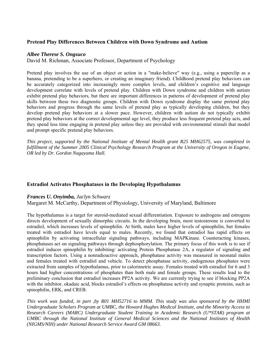## **Pretend Play Differences Between Children with Down Syndrome and Autism**

#### *Albee Therese S. Ongsuco*

David M. Richman, Associate Professor, Department of Psychology

Pretend play involves the use of an object or action in a "make-believe" way (e.g., using a paperclip as a banana, pretending to be a superhero, or creating an imaginary friend). Childhood pretend play behaviors can be accurately categorized into increasingly more complex levels, and children's cognitive and language development correlate with levels of pretend play. Children with Down syndrome and children with autism exhibit pretend play behaviors, but there are important differences in patterns of development of pretend play skills between these two diagnostic groups. Children with Down syndrome display the same pretend play behaviors and progress through the same levels of pretend play as typically developing children, but they develop pretend play behaviors at a slower pace. However, children with autism do not typically exhibit pretend play behaviors at the correct developmental age level, they produce less frequent pretend play acts, and they spend less time engaging in pretend play unless they are provided with environmental stimuli that model and prompt specific pretend play behaviors.

*This project, supported by the National Institute of Mental Health grant R25 MH62575, was completed in fulfillment of the Summer 2005 Clinical Psychology Research Program at the University of Oregon in Eugene, OR led by Dr. Gordon Nagayama Hall.* 

#### **Estradiol Activates Phosphatases in the Developing Hypothalamus**

#### *Frances U. Onyimba, Jaclyn Schwarz*

Margaret M. McCarthy, Department of Physiology, University of Maryland, Baltimore

The hypothalamus is a target for steroid-mediated sexual differentiation. Exposure to androgens and estrogens directs development of sexually dimorphic circuits. In the developing brain, most testosterone is converted to estradiol, which increases levels of spinophilin. At birth, males have higher levels of spinophilin, but females treated with estradiol have levels equal to males. Recently, we found that estradiol has rapid effects on spinophilin by activating intracellular signaling pathways, including MAPKinase. Counteracting kinases, phosphatases act on signaling pathways through dephosphorylation. The primary focus of this work is to see if estradiol induces spinophilin by inhibiting/ activating Protein Phosphatase 2A, a regulator of signaling and transcription factors. Using a nonradioactive approach, phosphatase activity was measured in neonatal males and females treated with estradiol and vehicle. To detect phosphatase activity, endogenous phosphates were extracted from samples of hypothalamus, prior to calorimetric assay. Females treated with estradiol for 6 and 3 hours had higher concentrations of phosphates than both male and female groups. These results lead to the preliminary conclusion that estradiol increases PP2A activity. We are currently trying to see if blocking PP2A with the inhibitor, okadaic acid, blocks estradiol's effects on phosphatase activity and synaptic proteins, such as spinophilin, ERK, and CREB.

*This work was funded, in part ,by R01 MH52716 to MMM. This study was also sponsored by the HHMI Undergraduate Scholars Program at UMBC, the Howard Hughes Medical Institute, and the Minority Access to Research Careers (MARC) Undergraduate Student Training in Academic Research (U\*STAR) program at UMBC through the National Institute of General Medical Sciences and the National Institutes of Health (NIGMS/NIH) under National Research Service Award GM 08663.*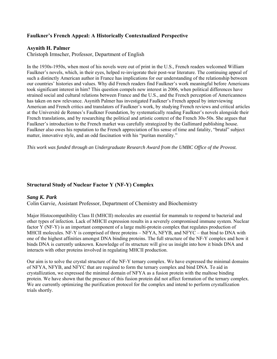# **Faulkner's French Appeal: A Historically Contextualized Perspective**

# **Asynith H. Palmer**

Christoph Irmscher, Professor, Department of English

In the 1930s-1950s, when most of his novels were out of print in the U.S., French readers welcomed William Faulkner's novels, which, in their eyes, helped re-invigorate their post-war literature. The continuing appeal of such a distinctly American author in France has implications for our understanding of the relationship between our countries' histories and values. Why did French readers find Faulkner's work meaningful before Americans took significant interest in him? This question compels new interest in 2006, when political differences have strained social and cultural relations between France and the U.S., and the French perception of Americanness has taken on new relevance. Asynith Palmer has investigated Faulkner's French appeal by interviewing American and French critics and translators of Faulkner's work, by studying French reviews and critical articles at the Université de Rennes's Faulkner Foundation, by systematically reading Faulkner's novels alongside their French translations, and by researching the political and artistic context of the French 30s-50s. She argues that Faulkner's introduction to the French market was carefully strategized by the Gallimard publishing house. Faulkner also owes his reputation to the French appreciation of his sense of time and fatality, "brutal" subject matter, innovative style, and an odd fascination with his "puritan morality."

*This work was funded through an Undergraduate Research Award from the UMBC Office of the Provost.* 

# **Structural Study of Nuclear Factor Y (NF-Y) Complex**

# *Sang K. Park*

Colin Garvie, Assistant Professor, Department of Chemistry and Biochemistry

Major Histocompatibility Class II (MHCII) molecules are essential for mammals to respond to bacterial and other types of infection. Lack of MHCII expression results in a severely compromised immune system. Nuclear factor Y (NF-Y) is an important component of a large multi-protein complex that regulates production of MHCII molecules. NF-Y is comprised of three proteins – NFYA, NFYB, and NFYC – that bind to DNA with one of the highest affinities amongst DNA binding proteins. The full structure of the NF-Y complex and how it binds DNA is currently unknown. Knowledge of its structure will give us insight into how it binds DNA and interacts with other proteins involved in regulating MHCII production.

Our aim is to solve the crystal structure of the NF-Y ternary complex. We have expressed the minimal domains of NFYA, NFYB, and NFYC that are required to form the ternary complex and bind DNA. To aid in crystallization, we expressed the minimal domain of NFYA as a fusion protein with the maltose binding protein. We have shown that the presence of this fusion protein did not affect formation of the ternary complex. We are currently optimizing the purification protocol for the complex and intend to perform crystallization trials shortly.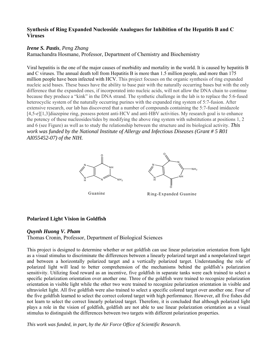# **Synthesis of Ring Expanded Nucleoside Analogues for Inhibition of the Hepatitis B and C Viruses**

# *Irene S. Pastis*, *Peng Zhang*

Ramachandra Hosmane, Professor, Department of Chemistry and Biochemistry

Viral hepatitis is the one of the major causes of morbidity and mortality in the world. It is caused by hepatitis B and C viruses. The annual death toll from Hepatitis B is more than 1.5 million people, and more than 175 million people have been infected with HCV. This project focuses on the organic synthesis of ring expanded nucleic acid bases. These bases have the ability to base pair with the naturally occurring bases but with the only difference that the expanded ones, if incorporated into nucleic acids, will not allow the DNA chain to continue because they produce a "kink" in the DNA strand. The synthetic challenge in the lab is to replace the 5:6-fused heterocyclic system of the naturally occurring purines with the expanded ring system of 5:7-fusion. After extensive research, our lab has discovered that a number of compounds containing the 5:7-fused imidazole [4,5-*e*][1,3]diazepine ring, possess potent anti-HCV and anti-HBV activities. My research goal is to enhance the potency of these nucleosides/tides by modifying the above ring system with substitutions at positions 1, 2 and 6 (see Figure) as well as to study the relationship between the structure and its biological activity. *This work was funded by the National Institute of Allergy and Infectious Diseases (Grant # 5 R01 AI055452-07) of the NIH.*



Guanine

Ring-Expanded Guanine

NH

NH<sub>2</sub>

N

# **Polarized Light Vision in Goldfish**

# *Quynh Huong V. Pham*

Thomas Cronin, Professor, Department of Biological Sciences

This project is designed to determine whether or not goldfish can use linear polarization orientation from light as a visual stimulus to discriminate the differences between a linearly polarized target and a nonpolarized target and between a horizontally polarized target and a vertically polarized target. Understanding the role of polarized light will lead to better comprehension of the mechanisms behind the goldfish's polarization sensitivity. Utilizing food reward as an incentive, five goldfish in separate tanks were each trained to select a specific polarization orientation over another one. Three of the goldfish were trained to recognize polarization orientation in visible light while the other two were trained to recognize polarization orientation in visible and ultraviolet light. All five goldfish were also trained to select a specific colored target over another one. Four of the five goldfish learned to select the correct colored target with high performance. However, all five fishes did not learn to select the correct linearly polarized target. Therefore, it is concluded that although polarized light plays a role in the vision of goldfish, goldfish are not able to use linear polarization orientation as a visual stimulus to distinguish the differences between two targets with different polarization properties.

*This work was funded, in part, by the Air Force Office of Scientific Research.*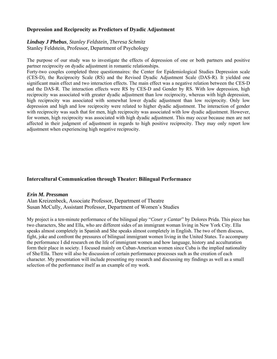# **Depression and Reciprocity as Predictors of Dyadic Adjustment**

## *Lindsay J Phebus, Stanley Feldstein, Theresa Schmitz*  Stanley Feldstein, Professor, Department of Psychology

The purpose of our study was to investigate the effects of depression of one or both partners and positive partner reciprocity on dyadic adjustment in romantic relationships.

Forty-two couples completed three questionnaires: the Center for Epidemiological Studies Depression scale (CES-D), the Reciprocity Scale (RS) and the Revised Dyadic Adjustment Scale (DAS-R). It yielded one significant main effect and two interaction effects. The main effect was a negative relation between the CES-D and the DAS-R. The interaction effects were RS by CES-D and Gender by RS. With low depression, high reciprocity was associated with greater dyadic adjustment than low reciprocity, whereas with high depression, high reciprocity was associated with somewhat lower dyadic adjustment than low reciprocity. Only low depression and high and low reciprocity were related to higher dyadic adjustment. The interaction of gender with reciprocity was such that for men, high reciprocity was associated with low dyadic adjustment. However, for women, high reciprocity was associated with high dyadic adjustment. This may occur because men are not affected in their judgment of adjustment in regards to high positive reciprocity. They may only report low adjustment when experiencing high negative reciprocity.

## **Intercultural Communication through Theater: Bilingual Performance**

#### *Erin M. Pressman*

Alan Kreizenbeck, Associate Professor, Department of Theatre Susan McCully, Assistant Professor, Department of Women's Studies

My project is a ten-minute performance of the bilingual play "*Coser y Cantar*" by Dolores Prida. This piece has two characters, She and Ella, who are different sides of an immigrant woman living in New York City. Ella speaks almost completely in Spanish and She speaks almost completely in English. The two of them discuss, fight, joke and confront the pressures of bilingual immigrant women living in the United States. To accompany the performance I did research on the life of immigrant women and how language, history and acculturation form their place in society. I focused mainly on Cuban-American women since Cuba is the implied nationality of She/Ella. There will also be discussion of certain performance processes such as the creation of each character. My presentation will include presenting my research and discussing my findings as well as a small selection of the performance itself as an example of my work.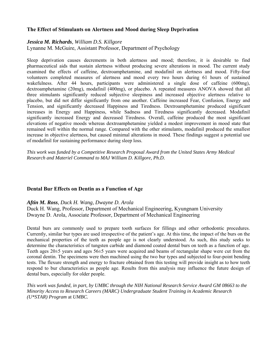# **The Effect of Stimulants on Alertness and Mood during Sleep Deprivation**

## *Jessica M. Richards, William D.S. Killgore*

Lynanne M. McGuire, Assistant Professor, Department of Psychology

Sleep deprivation causes decrements in both alertness and mood; therefore, it is desirable to find pharmaceutical aids that sustain alertness without producing severe alterations in mood. The current study examined the effects of caffeine, dextroamphetamine, and modafinil on alertness and mood. Fifty-four volunteers completed measures of alertness and mood every two hours during 61 hours of sustained wakefulness. After 44 hours, participants were administered a single dose of caffeine (600mg), dextroamphetamine (20mg), modafinil (400mg), or placebo. A repeated measures ANOVA showed that all three stimulants significantly reduced subjective sleepiness and increased objective alertness relative to placebo, but did not differ significantly from one another. Caffeine increased Fear, Confusion, Energy and Tension, and significantly decreased Happiness and Tiredness. Dextroamphetamine produced significant increases in Energy and Happiness, while Sadness and Tiredness significantly decreased. Modafinil significantly increased Energy and decreased Tiredness. Overall, caffeine produced the most significant elevations of negative moods whereas dextroamphetamine yielded a modest improvement in mood state that remained well within the normal range. Compared with the other stimulants, modafinil produced the smallest increase in objective alertness, but caused minimal alterations in mood. These findings suggest a potential use of modafinil for sustaining performance during sleep loss.

*This work was funded by a Competitive Research Proposal Award from the United States Army Medical Research and Materiel Command to MAJ William D. Killgore, Ph.D.* 

### **Dental Bur Effects on Dentin as a Function of Age**

*Aftin M. Ross, Duck H. Wang, Dwayne D. Arola* 

Duck H. Wang, Professor, Department of Mechanical Engineering, Kyungnam University Dwayne D. Arola, Associate Professor, Department of Mechanical Engineering

Dental burs are commonly used to prepare tooth surfaces for fillings and other orthodontic procedures. Currently, similar bur types are used irrespective of the patient's age. At this time, the impact of the burs on the mechanical properties of the teeth as people age is not clearly understood. As such, this study seeks to determine the characteristics of tungsten carbide and diamond coated dental burs on teeth as a function of age. Teeth ages 20±5 years and ages 56±5 years were acquired and beams of rectangular shape were cut from the coronal dentin. The specimens were then machined using the two bur types and subjected to four-point bending tests. The flexure strength and energy to fracture obtained from this testing will provide insight as to how teeth respond to bur characteristics as people age. Results from this analysis may influence the future design of dental burs, especially for older people.

*This work was funded, in part, by UMBC through the NIH National Research Service Award GM 08663 to the Minority Access to Research Careers (MARC) Undergraduate Student Training in Academic Research (U\*STAR) Program* at *UMBC.*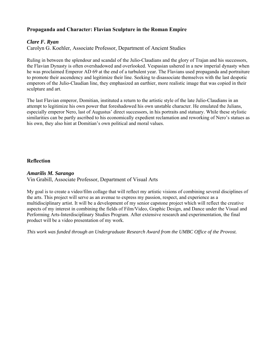# **Propaganda and Character: Flavian Sculpture in the Roman Empire**

# *Clare F. Ryan*

Carolyn G. Koehler, Associate Professor, Department of Ancient Studies

Ruling in between the splendour and scandal of the Julio-Claudians and the glory of Trajan and his successors, the Flavian Dynasty is often overshadowed and overlooked. Vespasian ushered in a new imperial dynasty when he was proclaimed Emperor AD 69 at the end of a turbulent year. The Flavians used propaganda and portraiture to promote their ascendency and legitimize their line. Seeking to disassociate themselves with the last despotic emperors of the Julio-Claudian line, they emphasized an earthier, more realistic image that was copied in their sculpture and art.

The last Flavian emperor, Domitian, instituted a return to the artistic style of the late Julio-Claudians in an attempt to legitimize his own power that foreshadowed his own unstable character. He emulated the Julians, especially emperor Nero, last of Augustus' direct successors, in his portraits and statuary. While these stylistic similarities can be partly ascribed to his economically expedient reclamation and reworking of Nero's statues as his own, they also hint at Domitian's own political and moral values.

# **Reflection**

# *Amarilis M. Sarango*

Vin Grabill, Associate Professor, Department of Visual Arts

My goal is to create a video/film collage that will reflect my artistic visions of combining several disciplines of the arts. This project will serve as an avenue to express my passion, respect, and experience as a multidisciplinary artist. It will be a development of my senior capstone project which will reflect the creative aspects of my interest in combining the fields of Film/Video, Graphic Design, and Dance under the Visual and Performing Arts-Interdisciplinary Studies Program. After extensive research and experimentation, the final product will be a video presentation of my work.

*This work was funded through an Undergraduate Research Award from the UMBC Office of the Provost.*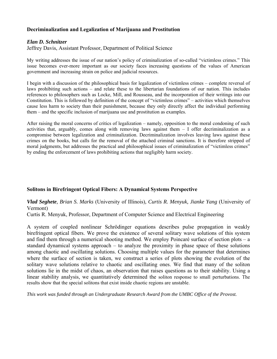# **Decriminalization and Legalization of Marijuana and Prostitution**

# *Elan D. Schnitzer*

Jeffrey Davis, Assistant Professor, Department of Political Science

My writing addresses the issue of our nation's policy of criminalization of so-called "victimless crimes." This issue becomes ever-more important as our society faces increasing questions of the values of American government and increasing strain on police and judicial resources.

I begin with a discussion of the philosophical basis for legalization of victimless crimes – complete reversal of laws prohibiting such actions – and relate these to the libertarian foundations of our nation. This includes references to philosophers such as Locke, Mill, and Rousseau, and the incorporation of their writings into our Constitution. This is followed by definition of the concept of "victimless crimes" – activities which themselves cause less harm to society than their punishment, because they only directly affect the individual performing them – and the specific inclusion of marijuana use and prostitution as examples.

After raising the moral concerns of critics of legalization – namely, opposition to the moral condoning of such activities that, arguably, comes along with removing laws against them – I offer decriminalization as a compromise between legalization and criminalization. Decriminalization involves leaving laws against these crimes on the books, but calls for the removal of the attached criminal sanctions. It is therefore stripped of moral judgments, but addresses the practical and philosophical issues of criminalization of "victimless crimes" by ending the enforcement of laws prohibiting actions that negligibly harm society.

# **Solitons in Birefringent Optical Fibers: A Dynamical Systems Perspective**

# *Vlad Seghete, Brian S. Marks* (University of Illinois)*, Curtis R. Menyuk, Jianke Yang* (University of Vermont)

Curtis R. Menyuk, Professor, Department of Computer Science and Electrical Engineering

A system of coupled nonlinear Schrödinger equations describes pulse propagation in weakly birefringent optical fibers. We prove the existence of several solitary wave solutions of this system and find them through a numerical shooting method. We employ Poincaré surface of section plots – a standard dynamical systems approach – to analyze the proximity in phase space of these solutions among chaotic and oscillating solutions. Choosing multiple values for the parameter that determines where the surface of section is taken, we construct a series of plots showing the evolution of the solitary wave solutions relative to chaotic and oscillating ones. We find that many of the soliton solutions lie in the midst of chaos, an observation that raises questions as to their stability. Using a linear stability analysis, we quantitatively determined the soliton response to small perturbations. The results show that the special solitons that exist inside chaotic regions are unstable.

*This work was funded through an Undergraduate Research Award from the UMBC Office of the Provost.*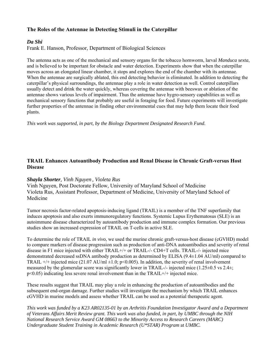# **The Roles of the Antennae in Detecting Stimuli in the Caterpillar**

# *Da Shi*

Frank E. Hanson, Professor, Department of Biological Sciences

The antenna acts as one of the mechanical and sensory organs for the tobacco hornworm, larval *Manduca sexta*, and is believed to be important for obstacle and water detection. Experiments show that when the caterpillar moves across an elongated linear chamber, it stops and explores the end of the chamber with its antennae. When the antennae are surgically ablated, this end detecting behavior is eliminated. In addition to detecting the caterpillar's physical surroundings, the antennae play a role in water detection as well. Control caterpillars usually detect and drink the water quickly, whereas covering the antennae with beeswax or ablation of the antennae shows various levels of impairment. Thus the antennae have hygro-sensory capabilities as well as mechanical sensory functions that probably are useful in foraging for food. Future experiments will investigate further properties of the antennae in finding other environmental cues that may help them locate their food plants.

*This work was supported, in part, by the Biology Department Designated Research Fund.* 

# **TRAIL Enhances Autoantibody Production and Renal Disease in Chronic Graft-versus Host Disease**

# *Shayla Shorter, Vinh Nguyen , Violeta Rus*

Vinh Nguyen, Post Doctorate Fellow, University of Maryland School of Medicine Violeta Rus, Assistant Professor, Department of Medicine, University of Maryland School of Medicine

Tumor necrosis factor-related apoptosis-inducing ligand (TRAIL) is a member of the TNF superfamily that induces apoptosis and also exerts immunoregulatory functions. Systemic Lupus Erythematosus (SLE) is an autoimmune disease characterized by autoantibody production and immune complex formation. Our previous studies show an increased expression of TRAIL on T-cells in active SLE.

To determine the role of TRAIL *in vivo*, we used the murine chronic graft-versus-host disease (cGVHD) model to compare markers of disease progression such as production of anti-DNA autoantibodies and severity of renal disease in F1 mice injected with either TRAIL+/+ or TRAIL-/- CD4+T cells. TRAIL-/- injected mice demonstrated decreased ssDNA antibody production as determined by ELISA (9.4±1.04 AU/ml) compared to TRAIL  $+/+$  injected mice (21.07 AU/ml  $\pm$ 1.0; p<0.005). In addition, the severity of renal involvement measured by the glomerular score was significantly lower in TRAIL-/- injected mice (1.25 $\pm$ 0.5 vs 2.4 $\pm$ ; p<0.05) indicating less severe renal involvement than in the TRAIL+/+ injected mice.

These results suggest that TRAIL may play a role in enhancing the production of autoantibodies and the subsequent end-organ damage. Further studies will investigate the mechanism by which TRAIL enhances cGVHD in murine models and assess whether TRAIL can be used as a potential therapeutic agent.

*This work was funded by a K23 AR02135-01 by an Arthritis Foundation Investigator Award and a Department of Veterans Affairs Merit Review grant. This work was also funded, in part, by UMBC through the NIH National Research Service Award GM 08663 to the Minority Access to Research Careers (MARC) Undergraduate Student Training in Academic Research (U\*STAR) Program* at *UMBC.*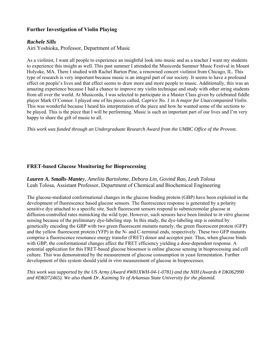# **Further Investigation of Violin Playing**

# *Rachele Sills*

Airi Yoshioka, Professor, Department of Music

As a violinist, I want all people to experience an insightful look into music and as a teacher I want my students to experience this insight as well. This past summer I attended the Musicorda Summer Music Festival in Mount Holyoke, MA. There I studied with Rachel Barton Pine, a renowned concert violinist from Chicago, IL. This type of research is very important because music is an integral part of our society. It seems to have a profound effect on people's lives and that effect seems to draw more and more people to music. Additionally, this was an amazing experience because I had a chance to improve my violin technique and study with other string students from all over the world. At Musicorda, I was selected to participate in a Master Class given by celebrated fiddle player Mark O'Connor. I played one of his pieces called, *Caprice No. 1 in A major for Unaccompanied Violin*. This was wonderful because I heard his interpretation of the piece and how he wanted some of the sections to be played. This is the piece that I will be performing. Music is such an important part of our lives and I'm very happy to share the gift of music to all.

*This work was funded through an Undergraduate Research Award from the UMBC Office of the Provost.* 

# **FRET-based Glucose Monitoring for Bioprocessing**

*Lauren A. Smalls-Mantey, Amelita Bartolome, Debora Lin, Govind Rao, Leah Tolosa*  Leah Tolosa, Assistant Professor, Department of Chemical and Biochemical Engineering

The glucose-mediated conformational changes in the glucose binding protein (GBP) have been exploited in the development of fluorescence based glucose sensors. The fluorescence response is generated by a polarity sensitive dye attached to a specific site. Such fluorescent sensors respond to submicromolar glucose at diffusion-controlled rates mimicking the wild type. However, such sensors have been limited to *in vitro* glucose sensing because of the preliminary dye-labeling step. In this study, the dye-labeling step is omitted by genetically encoding the GBP with two green fluorescent mutants namely, the green fluorescent protein (GFP) and the yellow fluorescent protein (YFP) in the N- and C-terminal ends, respectively. These two GFP mutants comprise a fluorescence resonance energy transfer (FRET) donor and acceptor pair. Thus, when glucose binds with GBP, the conformational changes affect the FRET efficiency yielding a dose-dependent response. A potential application for this FRET-based glucose biosensor is online glucose sensing in bioprocessing and cell culture. This was demonstrated by the measurement of glucose consumption in yeast fermentation. Further development of this system should yield *in vivo* measurement of glucose in bioprocesses.

*This work was supported by the US Army (Award #W81XWH-04-1-0781) and the NIH (Awards # DK062990 and #DK072465). We also thank Dr. Kaiming Ye of Arkansas State University for the plasmid.*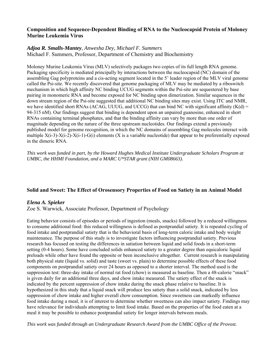# **Composition and Sequence-Dependent Binding of RNA to the Nucleocapsid Protein of Moloney Murine Leukemia Virus**

# *Adjoa R. Smalls-Mantey, Anwesha Dey, Michael F. Summers*

Michael F. Summers, Professor, Department of Chemistry and Biochemistry

Moloney Murine Leukemia Virus (MLV) selectively packages two copies of its full length RNA genome. Packaging specificity is mediated principally by interactions between the nucleocapsid (NC) domain of the assembling Gag polyproteins and a cis-acting segment located in the 5' leader region of the MLV viral genome called the Psi-site. We recently discovered that genome packaging of MLV may be mediated by a riboswitch mechanism in which high affinity NC binding UCUG segments within the Psi-site are sequestered by base pairing in monomeric RNA and become exposed for NC binding upon dimerization. Similar sequences in the down stream region of the Psi-site suggested that additional NC binding sites may exist. Using ITC and NMR, we have identified short RNAs (ACAG, UUUG, and UCCG) that can bind NC with significant affinity  $(K(d)$  = 94-315 nM). Our findings suggest that binding is dependent upon an unpaired guanosine, enhanced in short RNAs containing terminal phosphates, and that the binding affinity can vary by more than one order of magnitude depending on the nature of the three upstream nucleotides. Our findings extend a previously published model for genome recognition, in which the NC domains of assembling Gag molecules interact with multiple  $X(i-3)-X(i-2)-X(i-1)-G(i)$  elements (X is a variable nucleotide) that appear to be preferentially exposed in the dimeric RNA.

*This work was funded in part, by the Howard Hughes Medical Institute Undergraduate Scholars Program at UMBC, the HHMI Foundation, and a MARC U\*STAR grant (NIH GM08663).*

# **Solid and Sweet: The Effect of Orosensory Properties of Food on Satiety in an Animal Model**

# *Elena A. Spieker*

Zoe S. Warwick, Associate Professor, Department of Psychology

Eating behavior consists of episodes or periods of ingestion (meals, snacks) followed by a reduced willingness to consume additional food: this reduced willingness is defined as postprandial satiety. It is repeated cycling of food intake and postprandial satiety that is the behavioral basis of long-term caloric intake and body weight maintenance. The purpose of this study is to investigate factors influencing postprandial satiety. Previous research has focused on testing the differences in satiation between liquid and solid foods in a short-term setting (0-4 hours). Some have concluded solids enhanced satiety to a greater degree than equicaloric liquid preloads while other have found the opposite or been inconclusive altogether. Current research is manipulating both physical state (liquid vs. solid) and taste (sweet vs. plain) to determine possible effects of these food components on postprandial satiety over 24 hours as opposed to a shorter interval. The method used is the suppression test: three-day intake of normal rat food (chow) is measured as baseline. Then a 48-calorie "snack" is given daily for an additional three days, and chow intake measured. The satiety effect of the snack is indicated by the percent suppression of chow intake during the snack phase relative to baseline. It is hypothesized in this study that a liquid snack will produce less satiety than a solid snack, indicated by less suppression of chow intake and higher overall chow consumption. Since sweetness can markedly influence food intake during a meal, it is of interest to determine whether sweetness can also impact satiety. Findings may have relevance for individuals attempting to limit food intake. Based on the properties of the food eaten at a meal it may be possible to enhance postprandial satiety for longer intervals between meals.

*This work was funded through an Undergraduate Research Award from the UMBC Office of the Provost.*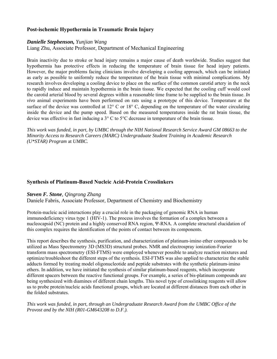# **Post-ischemic Hypothermia in Traumatic Brain Injury**

### *Danielle Stephenson, Yunjian Wang*

Liang Zhu, Associate Professor, Department of Mechanical Engineering

Brain inactivity due to stroke or head injury remains a major cause of death worldwide. Studies suggest that hypothermia has protective effects in reducing the temperature of brain tissue for head injury patients. However, the major problems facing clinicians involve developing a cooling approach, which can be initiated as early as possible to uniformly reduce the temperature of the brain tissue with minimal complications. My research involves developing a cooling device to place on the surface of the common carotid artery in the neck to rapidly induce and maintain hypothermia in the brain tissue. We expected that the cooling cuff would cool the carotid arterial blood by several degrees within a reasonable time frame to be supplied to the brain tissue. *In vivo* animal experiments have been performed on rats using a prototype of this device. Temperature at the surface of the device was controlled at  $12^{\circ}$  C or  $18^{\circ}$  C, depending on the temperature of the water circulating inside the device and the pump speed. Based on the measured temperatures inside the rat brain tissue, the device was effective in fast inducing a 3° C to 5°C decrease in temperature of the brain tissue.

*This work was funded, in part, by UMBC through the NIH National Research Service Award GM 08663 to the Minority Access to Research Careers (MARC) Undergraduate Student Training in Academic Research (U\*STAR) Program* at *UMBC.*

# **Synthesis of Platinum-Based Nucleic Acid-Protein Crosslinkers**

#### *Steven F. Stone, Qingrong Zhang*

Daniele Fabris, Associate Professor, Department of Chemistry and Biochemistry

Protein-nucleic acid interactions play a crucial role in the packaging of genomic RNA in human immunodeficiency virus type 1 (HIV-1). The process involves the formation of a complex between a nucleocapsid (NC) protein and a highly conserved RNA region, Ψ-RNA. A complete structural elucidation of this complex requires the identification of the points of contact between its components.

This report describes the synthesis, purification, and characterization of platinum-imino ether compounds to be utilized as Mass Spectrometry 3D (MS3D) structural probes. NMR and electrospray ionization-Fourier transform mass spectrometry (ESI-FTMS) were employed whenever possible to analyze reaction mixtures and optimize/troubleshoot the different steps of the synthesis. ESI-FTMS was also applied to characterize the stable adducts formed by treating model oligonucleotide and peptide substrates with the synthetic platinum-imino ethers. In addition, we have initiated the synthesis of similar platinum-based reagents, which incorporate different spacers between the reactive functional groups. For example, a series of bis-platinum compounds are being synthesized with diamines of different chain lengths. This novel type of crosslinking reagents will allow us to probe protein/nucleic acids functional groups, which are located at different distances from each other in the folded substrates.

#### *This work was funded, in part, through an Undergraduate Research Award from the UMBC Office of the Provost and by the NIH (R01-GM643208 to D.F.).*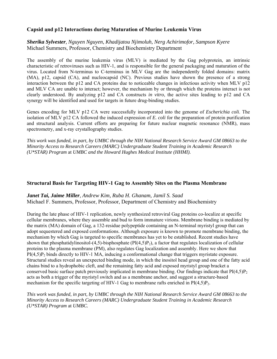# **Capsid and p12 Interactions during Maturation of Murine Leukemia Virus**

*Sherika Sylvester, Nguyen Nguyen, Khadijatou Njimoluh, Nerg Achirimofor, Sampson Kyere*  Michael Summers, Professor, Chemistry and Biochemistry Department

The assembly of the murine leukemia virus (MLV) is mediated by the Gag polyprotein, an intrinsic characteristic of retroviruses such as HIV-1, and is responsible for the general packaging and maturation of the virus. Located from N-terminus to C-terminus in MLV Gag are the independently folded domains: matrix (MA), p12, capsid (CA), and nucleocapsid (NC). Previous studies have shown the presence of a strong interaction between the p12 and CA proteins due to noticeable changes in infectious activity when MLV p12 and MLV CA are unable to interact; however, the mechanism by or through which the proteins interact is not clearly understood. By analyzing p12 and CA constructs *in vitro*, the active sites leading to p12 and CA synergy will be identified and used for targets in future drug-binding studies.

Genes encoding for MLV p12 CA were successfully incorporated into the genome of *Escherichia coli*. The isolation of MLV p12 CA followed the induced expression of *E. coli* for the preparation of protein purification and structural analysis. Current efforts are preparing for future nuclear magnetic resonance (NMR), mass spectrometry, and x-ray crystallography studies.

*This work was funded, in part, by UMBC through the NIH National Research Service Award GM 08663 to the Minority Access to Research Careers (MARC) Undergraduate Student Training in Academic Research (U\*STAR) Program* at *UMBC and the Howard Hughes Medical Institute (HHMI).*

# **Structural Basis for Targeting HIV-1 Gag to Assembly Sites on the Plasma Membrane**

*Janet Tai, Jaime Miller*, *Andrew Kim, Ruba H. Ghanam, Jamil S. Saad*  Michael F. Summers, Professor, Professor, Department of Chemistry and Biochemistry

During the late phase of HIV-1 replication, newly synthesized retroviral Gag proteins co-localize at specific cellular membranes, where they assemble and bud to form immature virions. Membrane binding is mediated by the matrix (MA) domain of Gag, a 132-residue polypeptide containing an N-terminal myristyl group that can adopt sequestered and exposed conformations. Although exposure is known to promote membrane binding, the mechanism by which Gag is targeted to specific membranes has yet to be established. Recent studies have shown that phosphatidylinositol-(4,5)-bisphosphate ( $PI(4,5)P_2$ ), a factor that regulates localization of cellular proteins to the plasma membrane (PM), also regulates Gag localization and assembly. Here we show that  $P1(4,5)P_2$  binds directly to HIV-1 MA, inducing a conformational change that triggers myristate exposure. Structural studies reveal an unexpected binding mode, in which the inositol head group and one of the fatty acid chains bind to a hydrophobic cleft, and the remaining fatty acid and exposed myristyl group bracket a conserved basic surface patch previously implicated in membrane binding. Our findings indicate that  $PI(4,5)P<sub>2</sub>$ acts as both a trigger of the myristyl switch and as a membrane anchor, and suggest a structure-based mechanism for the specific targeting of HIV-1 Gag to membrane rafts enriched in  $PI(4,5)P<sub>2</sub>$ .

*This work was funded, in part, by UMBC through the NIH National Research Service Award GM 08663 to the Minority Access to Research Careers (MARC) Undergraduate Student Training in Academic Research (U\*STAR) Program* at *UMBC.*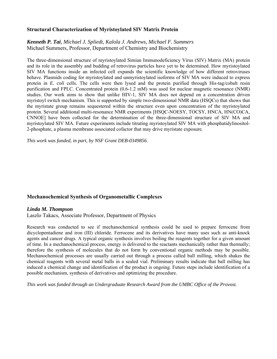# **Structural Characterization of Myristoylated SIV Matrix Protein**

*Kenneth P. Tai, Michael J. Spliedt, Kalola J. Andrews, Michael F. Summers*  Michael Summers, Professor, Department of Chemistry and Biochemistry

The three-dimensional structure of myristoylated Simian Immunodeficiency Virus (SIV) Matrix (MA) protein and its role in the assembly and budding of retrovirus particles have yet to be determined. How myristoylated SIV MA functions inside an infected cell expands the scientific knowledge of how different retroviruses behave. Plasmids coding for myristoylated and unmyristoylated isoforms of SIV MA were induced to express protein in *E. coli* cells. The cells were then lysed and the protein purified through His-tag/cobalt resin purification and FPLC. Concentrated protein (0.6-1.2 mM) was used for nuclear magnetic resonance (NMR) studies. Our work aims to show that unlike HIV-1, SIV MA does not depend on a concentration driven myristoyl switch mechanism. This is supported by simple two-dimensional NMR data (HSQCs) that shows that the myristate group remains sequestered within the structure even upon concentration of the myristoylated protein. Several additional multi-resonance NMR experiments [HSQC-NOESY, TOCSY, HNCA, HN(CO)CA, CNNOE] have been collected for the determination of the three-dimensional structure of SIV MA and myristoylated SIV MA. Future experiments include titrating myristoylated SIV MA with phosphatidylinositol-2-phosphate, a plasma membrane associated cofactor that may drive myristate exposure.

*This work was funded, in part, by NSF Grant DEB-0349856.* 

# **Mechanochemical Synthesis of Organometallic Complexes**

#### *Linda M. Thompson*

Laszlo Takacs, Associate Professor, Department of Physics

Research was conducted to see if mechanochemical synthesis could be used to prepare ferrocene from dicyclopentadiene and iron (III) chloride. Ferrocene and its derivatives have many uses such as anti-knock agents and cancer drugs. A typical organic synthesis involves boiling the reagents together for a given amount of time. In a mechanochemical process, energy is delivered to the reactants mechanically rather than thermally; therefore the synthesis of molecules that do not form by conventional organic methods may be possible. Mechanochemical processes are usually carried out through a process called ball milling, which shakes the chemical reagents with several metal balls in a sealed vial. Preliminary results indicate that ball milling has induced a chemical change and identification of the product is ongoing. Future steps include identification of a possible mechanism, synthesis of derivatives and optimizing the procedure.

*This work was funded through an Undergraduate Research Award from the UMBC Office of the Provost.*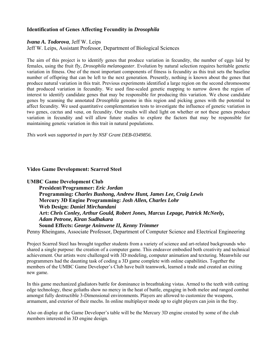# **Identification of Genes Affecting Fecundity in** *Drosophila*

## *Ivana A. Todorova,* Jeff W. Leips

Jeff W. Leips, Assistant Professor, Department of Biological Sciences

The aim of this project is to identify genes that produce variation in fecundity, the number of eggs laid by females, using the fruit fly, *Drosophila melanogaster*. Evolution by natural selection requires heritable genetic variation in fitness. One of the most important components of fitness is fecundity as this trait sets the baseline number of offspring that can be left to the next generation. Presently, nothing is known about the genes that produce natural variation in this trait. Previous experiments identified a large region on the second chromosome that produced variation in fecundity. We used fine-scaled genetic mapping to narrow down the region of interest to identify candidate genes that may be responsible for producing this variation. We chose candidate genes by scanning the annotated *Drosophila* genome in this region and picking genes with the potential to affect fecundity. We used quantitative complementation tests to investigate the influence of genetic variation in two genes, *cactus* and v*asa*, on fecundity. Our results will shed light on whether or not these genes produce variation in fecundity and will allow future studies to explore the factors that may be responsible for maintaining genetic variation in this trait in natural populations.

*This work was supported in part by NSF Grant DEB-0349856.* 

### **Video Game Development: Scarred Steel**

#### **UMBC Game Development Club**

 **President/Programmer:** *Eric Jordan* **Programming:** *Charles Bushong, Andrew Hunt, James Lee, Craig Lewis* **Mercury 3D Engine Programming:** *Josh Allen, Charles Lohr* **Web Design:** *Daniel Mirchandani* **Art:** *Chris Conley, Arthur Gould, Robert Jones, Marcus Lepage, Patrick McNeely, Adam Petrone, Kiran Sudhakara*  **Sound Effects:** *George Aninwene II, Kenny Trimmer*

Penny Rheingans, Associate Professor, Department of Computer Science and Electrical Engineering

Project Scarred Steel has brought together students from a variety of science and art-related backgrounds who shared a single purpose: the creation of a computer game. This endeavor embodied both creativity and technical achievement. Our artists were challenged with 3D modeling, computer animation and texturing. Meanwhile our programmers had the daunting task of coding a 3D game complete with online capabilities. Together the members of the UMBC Game Developer's Club have built teamwork, learned a trade and created an exiting new game.

In this game mechanized gladiators battle for dominance in breathtaking vistas. Armed to the teeth with cutting edge technology, these goliaths show no mercy in the heat of battle, engaging in both melee and ranged combat amongst fully destructible 3-Dimensional environments. Players are allowed to customize the weapons, armament, and exterior of their mechs. In online multiplayer mode up to eight players can join in the fray.

Also on display at the Game Developer's table will be the Mercury 3D engine created by some of the club members interested in 3D engine design.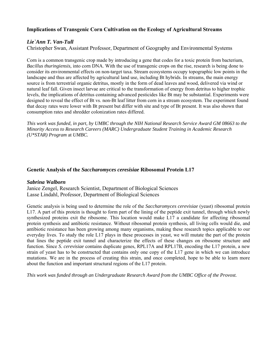# **Implications of Transgenic Corn Cultivation on the Ecology of Agricultural Streams**

# *Lie`Ann T. Van-Tull*

Christopher Swan, Assistant Professor, Department of Geography and Environmental Systems

Corn is a common transgenic crop made by introducing a gene that codes for a toxic protein from bacterium, *Bacillus thuringiensis,* into corn DNA. With the use of transgenic crops on the rise, research is being done to consider its environmental effects on non-target taxa. Stream ecosystems occupy topographic low points in the landscape and thus are affected by agricultural land use, including Bt hybrids. In streams, the main energy source is from terrestrial organic detritus, mostly in the form of dead leaves and wood, delivered via wind or natural leaf fall. Given insect larvae are critical to the transformation of energy from detritus to higher trophic levels, the implications of detritus containing advanced pesticides like Bt may be substantial. Experiments were designed to reveal the effect of Bt vs. non-Bt leaf litter from corn in a stream ecosystem. The experiment found that decay rates were lower with Bt present but differ with site and type of Bt present. It was also shown that consumption rates and shredder colonization rates differed.

*This work was funded, in part, by UMBC through the NIH National Research Service Award GM 08663 to the Minority Access to Research Careers (MARC) Undergraduate Student Training in Academic Research (U\*STAR) Program* at *UMBC.* 

# **Genetic Analysis of the** *Saccharomyces ceresisiae* **Ribosomal Protein L17**

#### *Sabrina Walborn*

Janice Zengel, Research Scientist, Department of Biological Sciences Lasse Lindahl, Professor, Department of Biological Sciences

Genetic analysis is being used to determine the role of the *Saccharomyces cerevisiae* (yeast) ribosomal protein L17. A part of this protein is thought to form part of the lining of the peptide exit tunnel, through which newly synthesized proteins exit the ribosome. This location would make L17 a candidate for affecting ribosomal protein synthesis and antibiotic resistance. Without ribosomal protein synthesis, all living cells would die, and antibiotic resistance has been growing among many organisms, making these research topics applicable to our everyday lives. To study the role L17 plays in these processes in yeast, we will mutate the part of the protein that lines the peptide exit tunnel and characterize the effects of these changes on ribosome structure and function. Since *S. cerevisiae* contains duplicate genes, RPL17A and RPL17B, encoding the L17 protein, a new strain of yeast has to be constructed that contains only one copy of the L17 gene in which we can introduce mutations. We are in the process of creating this strain, and once completed, hope to be able to learn more about the function and important structural regions of the L17 protein.

*This work was funded through an Undergraduate Research Award from the UMBC Office of the Provost.*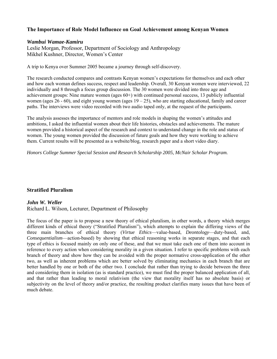# **The Importance of Role Model Influence on Goal Achievement among Kenyan Women**

#### *Wambui Wamae-Kamiru*

Leslie Morgan, Professor, Department of Sociology and Anthropology Mikhel Kushner, Director, Women's Center

A trip to Kenya over Summer 2005 became a journey through self-discovery.

The research conducted compares and contrasts Kenyan women's expectations for themselves and each other and how each woman defines success, respect and leadership. Overall, 30 Kenyan women were interviewed, 22 individually and 8 through a focus group discussion. The 30 women were divided into three age and achievement groups: Nine mature women (ages 60+) with continued personal success, 13 publicly influential women (ages 26 - 60), and eight young women (ages  $19-25$ ), who are starting educational, family and career paths. The interviews were video recorded with two audio taped only, at the request of the participants.

The analysis assesses the importance of mentors and role models in shaping the women's attitudes and ambitions, I asked the influential women about their life histories, obstacles and achievements. The mature women provided a historical aspect of the research and context to understand change in the role and status of women. The young women provided the discussion of future goals and how they were working to achieve them. Current results will be presented as a website/blog, research paper and a short video diary.

*Honors College Summer Special Session and Research Scholarship 2005, McNair Scholar Program.* 

# **Stratified Pluralism**

# *John W. Weller*

#### Richard L. Wilson, Lecturer, Department of Philosophy

The focus of the paper is to propose a new theory of ethical pluralism, in other words, a theory which merges different kinds of ethical theory ("Stratified Pluralism"), which attempts to explain the differing views of the three main branches of ethical theory (*Virtue Ethics*—value-based, *Deontology*—duty-based, and, *Consequentialism*—action-based) by showing that ethical reasoning works in separate stages, and that each type of ethics is focused mainly on only one of these, and that we must take each one of them into account in reference to every action when considering morality in a given situation. I refer to specific problems with each branch of theory and show how they can be avoided with the proper normative cross-application of the other two, as well as inherent problems which are better solved by eliminating mechanics in each branch that are better handled by one or both of the other two. I conclude that rather than trying to decide between the three and considering them in isolation (as is standard practice), we must find the proper balanced application of all, and that rather than leading to moral relativism (the view that morality itself has no absolute basis) or subjectivity on the level of theory and/or practice, the resulting product clarifies many issues that have been of much debate.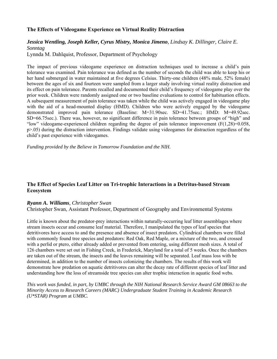# **The Effects of Videogame Experience on Virtual Reality Distraction**

#### *Jessica Wentling, Joseph Keller, Cyrus Mistry, Monica Jimeno, Lindsay K. Dillinger, Claire E. Sonntag*

Lynnda M. Dahlquist, Professor, Department of Psychology

The impact of previous videogame experience on distraction techniques used to increase a child's pain tolerance was examined. Pain tolerance was defined as the number of seconds the child was able to keep his or her hand submerged in water maintained at five degrees Celsius. Thirty-one children (48% male, 52% female) between the ages of six and fourteen were sampled from a larger study involving virtual reality distraction and its effect on pain tolerance. Parents recalled and documented their child's frequency of videogame play over the prior week. Children were randomly assigned one or two baseline evaluations to control for habituation effects. A subsequent measurement of pain tolerance was taken while the child was actively engaged in videogame play with the aid of a head-mounted display (HMD). Children who were actively engaged by the videogame demonstrated improved pain tolerance (Baseline: M=31.90sec. SD=41.75sec.; HMD: M=49.92sec. SD=66.75sec.). There was, however, no significant difference in pain tolerance between groups of "high" and "low" videogame-experienced children regarding the degree of pain tolerance improvement  $(F(1,28)=0.058$ , p>.05) during the distraction intervention. Findings validate using videogames for distraction regardless of the child's past experience with videogames.

*Funding provided by the Believe in Tomorrow Foundation and the NIH.* 

# **The Effect of Species Leaf Litter on Tri-trophic Interactions in a Detritus-based Stream Ecosystem**

#### *Ryann A. Williams, Christopher Swan*

Christopher Swan, Assistant Professor, Department of Geography and Environmental Systems

Little is known about the predator-prey interactions within naturally-occurring leaf litter assemblages where stream insects occur and consume leaf material. Therefore, I manipulated the types of leaf species that detritivores have access to and the presence and absence of insect predators. Cylindrical chambers were filled with commonly found tree species and predators: Red Oak, Red Maple, or a mixture of the two, and crossed with a perlid or ptero, either already added or prevented from entering, using different mesh sizes. A total of 126 chambers were set out in Fishing Creek, in Frederick, Maryland for a total of 5 weeks. Once the chambers are taken out of the stream, the insects and the leaves remaining will be separated. Leaf mass loss with be determined, in addition to the number of insects colonizing the chambers. The results of this work will demonstrate how predation on aquatic detritivores can alter the decay rate of different species of leaf litter and understanding how the loss of streamside tree species can alter trophic interaction in aquatic food webs.

*This work was funded, in part, by UMBC through the NIH National Research Service Award GM 08663 to the Minority Access to Research Careers (MARC) Undergraduate Student Training in Academic Research (U\*STAR) Program* at *UMBC.*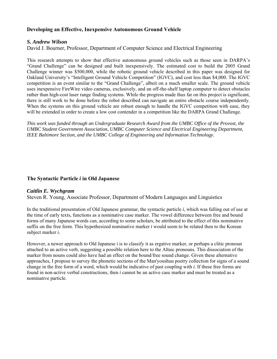# **Developing an Effective, Inexpensive Autonomous Ground Vehicle**

## *S. Andrew Wilson*

David J. Bourner, Professor, Department of Computer Science and Electrical Engineering

This research attempts to show that effective autonomous ground vehicles such as those seen in DARPA's "Grand Challenge" can be designed and built inexpensively. The estimated cost to build the 2005 Grand Challenge winner was \$500,000, while the robotic ground vehicle described in this paper was designed for Oakland University's "Intelligent Ground Vehicle Competition" (IGVC), and cost less than \$4,000. The IGVC competition is an event similar to the "Grand Challenge", albeit on a much smaller scale. The ground vehicle uses inexpensive FireWire video cameras, exclusively, and an off-the-shelf laptop computer to detect obstacles rather than high-cost laser range finding systems. While the progress made thus far on this project is significant, there is still work to be done before the robot described can navigate an entire obstacle course independently. When the systems on this ground vehicle are robust enough to handle the IGVC competition with ease, they will be extended in order to create a low cost contender in a competition like the DARPA Grand Challenge.

*This work was funded through an Undergraduate Research Award from the UMBC Office of the Provost, the UMBC Student Government Association, UMBC Computer Science and Electrical Engineering Department, IEEE Baltimore Section, and the UMBC College of Engineering and Information Technology.* 

# **The Syntactic Particle** *i* **in Old Japanese**

#### *Caitlin E. Wychgram*

Steven R. Young, Associate Professor, Department of Modern Languages and Linguistics

In the traditional presentation of Old Japanese grammar, the syntactic particle *i*, which was falling out of use at the time of early texts, functions as a nominative case marker. The vowel difference between free and bound forms of many Japanese words can, according to some scholars, be attributed to the effect of this nominative suffix on the free form. This hypothesized nominative marker *i* would seem to be related then to the Korean subject marker *i.*

However, a newer approach to Old Japanese *i* is to classify it as ergative marker, or perhaps a clitic pronoun attached to an active verb, suggesting a possible relation here to the Altaic pronouns. This dissociation of the marker from nouns could also have had an effect on the bound/free sound change. Given these alternative approaches, I propose to survey the phonetic sections of the Man'youshuu poetry collection for signs of a sound change in the free form of a word, which would be indicative of past coupling with *i*. If these free forms are found in non-active verbal constructions, then *i* cannot be an active case marker and must be treated as a nominative particle.